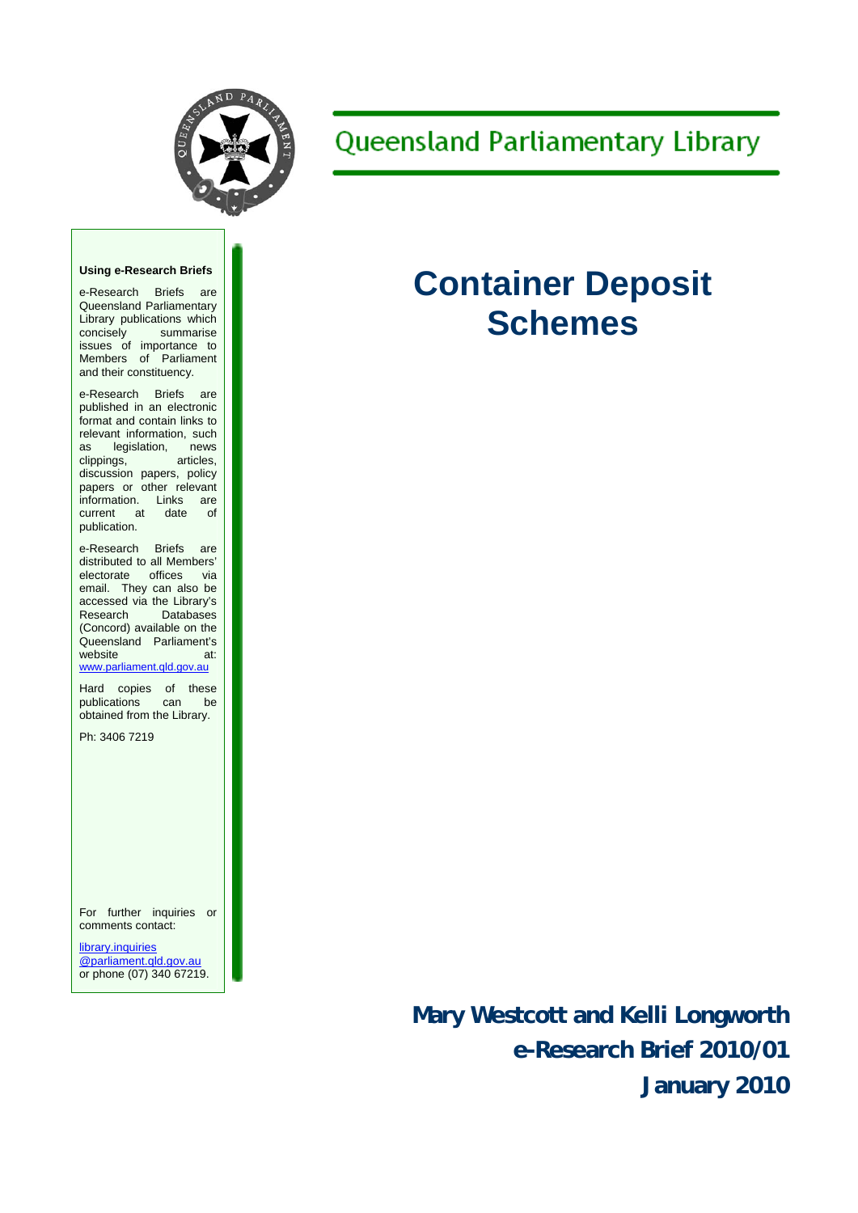

## **Queensland Parliamentary Library**

#### **Using e-Research Briefs**

e-Research Briefs are Queensland Parliamentary Library publications which concisely summarise issues of importance to Members of Parliament and their constituency.

e-Research Briefs are published in an electronic format and contain links to relevant information, such as legislation, news clippings, articles, discussion papers, policy papers or other relevant information. Links are current at date of publication.

e-Research Briefs are distributed to all Members' electorate offices via email. They can also be accessed via the Library's<br>Research Databases Databases (Concord) available on the Queensland Parliament's website at: [www.parliament.qld.gov.au](http://www.parliament.qld.gov.au/)

Hard copies of these publications can be obtained from the Library.

Ph: 3406 7219

For further inquiries or comments contact:

[library.inquiries](mailto:library.inquiries@parliament.qld.gov.au) [@parliament.qld.gov.au](mailto:library.inquiries@parliament.qld.gov.au)  or phone (07) 340 67219.

# **Container Deposit Schemes**

**Mary Westcott and Kelli Longworth e-Research Brief 2010/01 January 2010**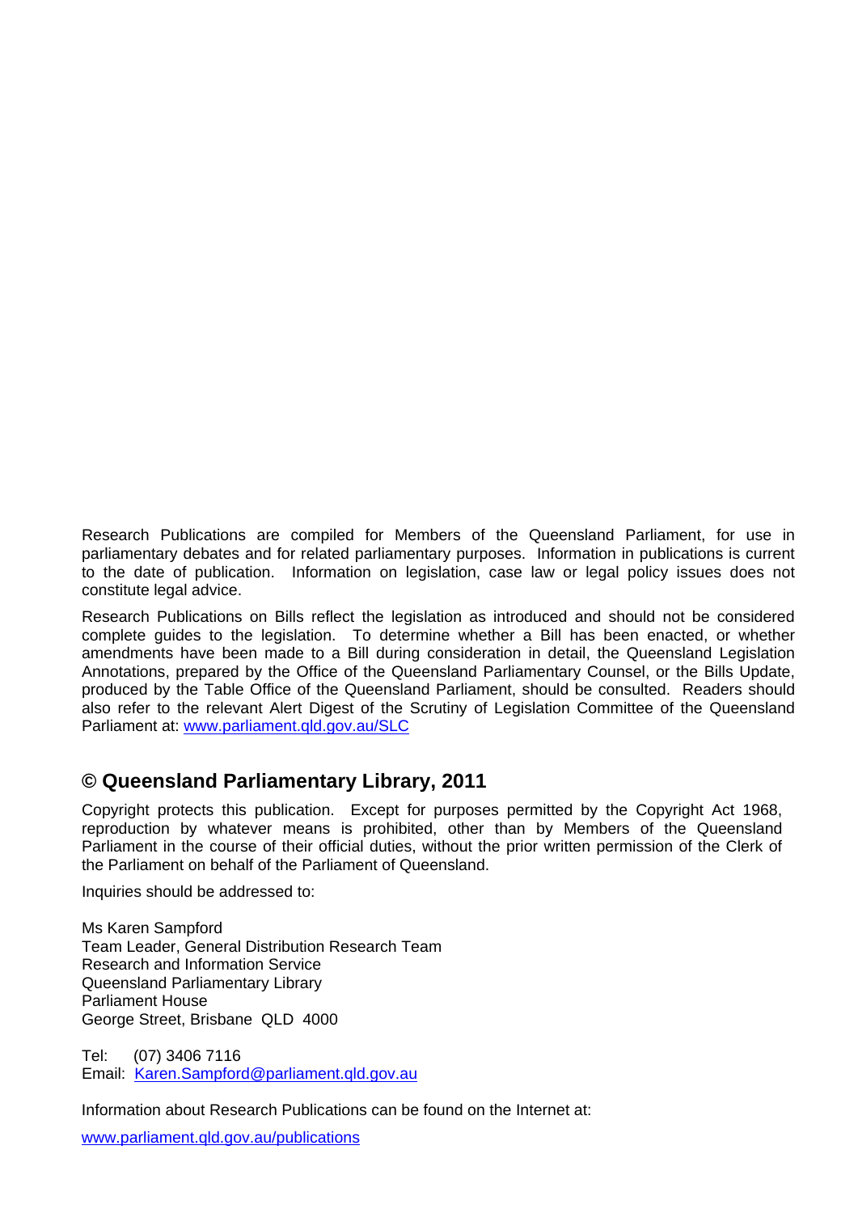Research Publications are compiled for Members of the Queensland Parliament, for use in parliamentary debates and for related parliamentary purposes. Information in publications is current to the date of publication. Information on legislation, case law or legal policy issues does not constitute legal advice.

Research Publications on Bills reflect the legislation as introduced and should not be considered complete guides to the legislation. To determine whether a Bill has been enacted, or whether amendments have been made to a Bill during consideration in detail, the Queensland Legislation Annotations, prepared by the Office of the Queensland Parliamentary Counsel, or the Bills Update, produced by the Table Office of the Queensland Parliament, should be consulted. Readers should also refer to the relevant Alert Digest of the Scrutiny of Legislation Committee of the Queensland Parliament at: [www.parliament.qld.gov.au/SLC](http://www.parliament.qld.gov.au/SLC)

## **© Queensland Parliamentary Library, 2011**

Copyright protects this publication. Except for purposes permitted by the Copyright Act 1968, reproduction by whatever means is prohibited, other than by Members of the Queensland Parliament in the course of their official duties, without the prior written permission of the Clerk of the Parliament on behalf of the Parliament of Queensland.

Inquiries should be addressed to:

Ms Karen Sampford Team Leader, General Distribution Research Team Research and Information Service Queensland Parliamentary Library Parliament House George Street, Brisbane QLD 4000

Tel: (07) 3406 7116 Email: [Karen.Sampford@parliament.qld.gov.au](mailto:Karen.Sampford@parliament.qld.gov.au)

Information about Research Publications can be found on the Internet at:

[www.parliament.qld.gov.au/publications](http://www.parliament.qld.gov.au/publications)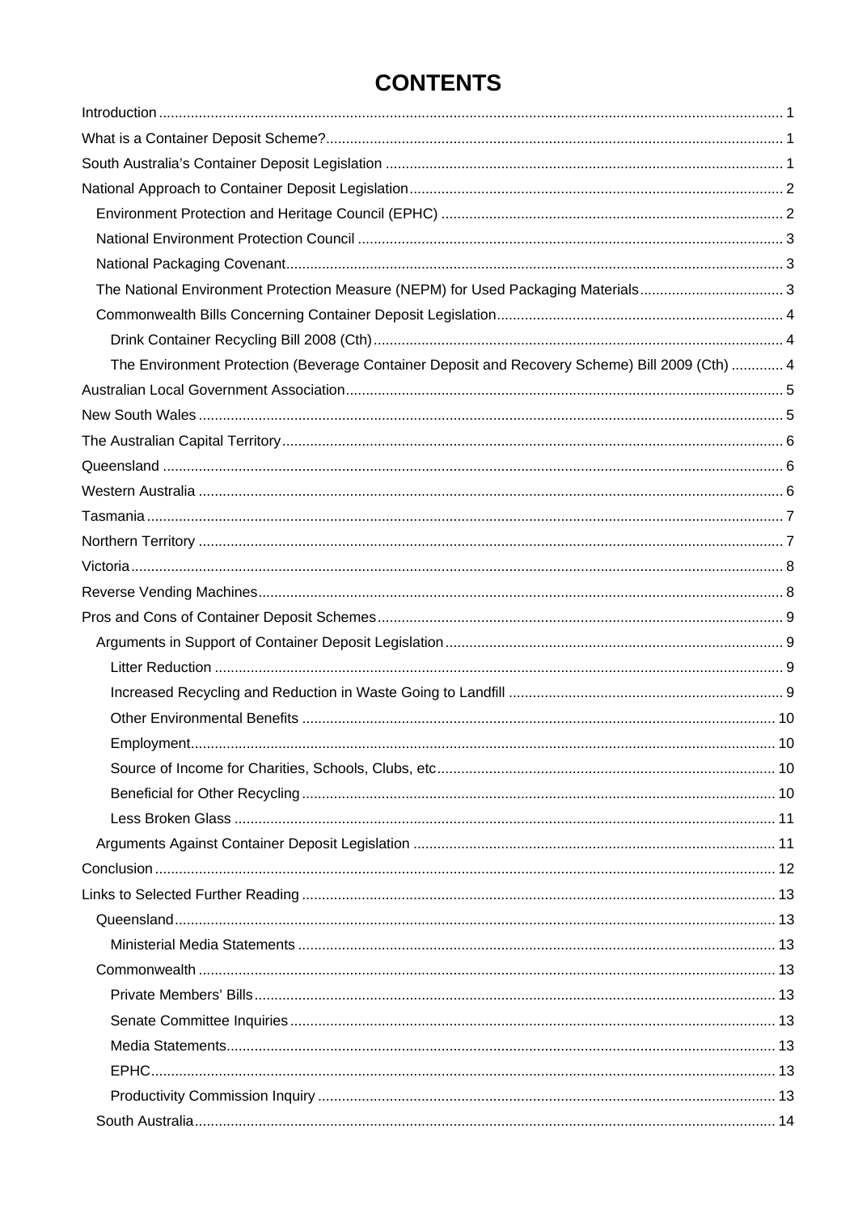## **CONTENTS**

| The National Environment Protection Measure (NEPM) for Used Packaging Materials3               |  |
|------------------------------------------------------------------------------------------------|--|
|                                                                                                |  |
|                                                                                                |  |
| The Environment Protection (Beverage Container Deposit and Recovery Scheme) Bill 2009 (Cth)  4 |  |
|                                                                                                |  |
|                                                                                                |  |
|                                                                                                |  |
|                                                                                                |  |
|                                                                                                |  |
|                                                                                                |  |
|                                                                                                |  |
|                                                                                                |  |
|                                                                                                |  |
|                                                                                                |  |
|                                                                                                |  |
|                                                                                                |  |
|                                                                                                |  |
|                                                                                                |  |
|                                                                                                |  |
|                                                                                                |  |
|                                                                                                |  |
|                                                                                                |  |
|                                                                                                |  |
|                                                                                                |  |
|                                                                                                |  |
|                                                                                                |  |
|                                                                                                |  |
|                                                                                                |  |
|                                                                                                |  |
|                                                                                                |  |
|                                                                                                |  |
|                                                                                                |  |
|                                                                                                |  |
|                                                                                                |  |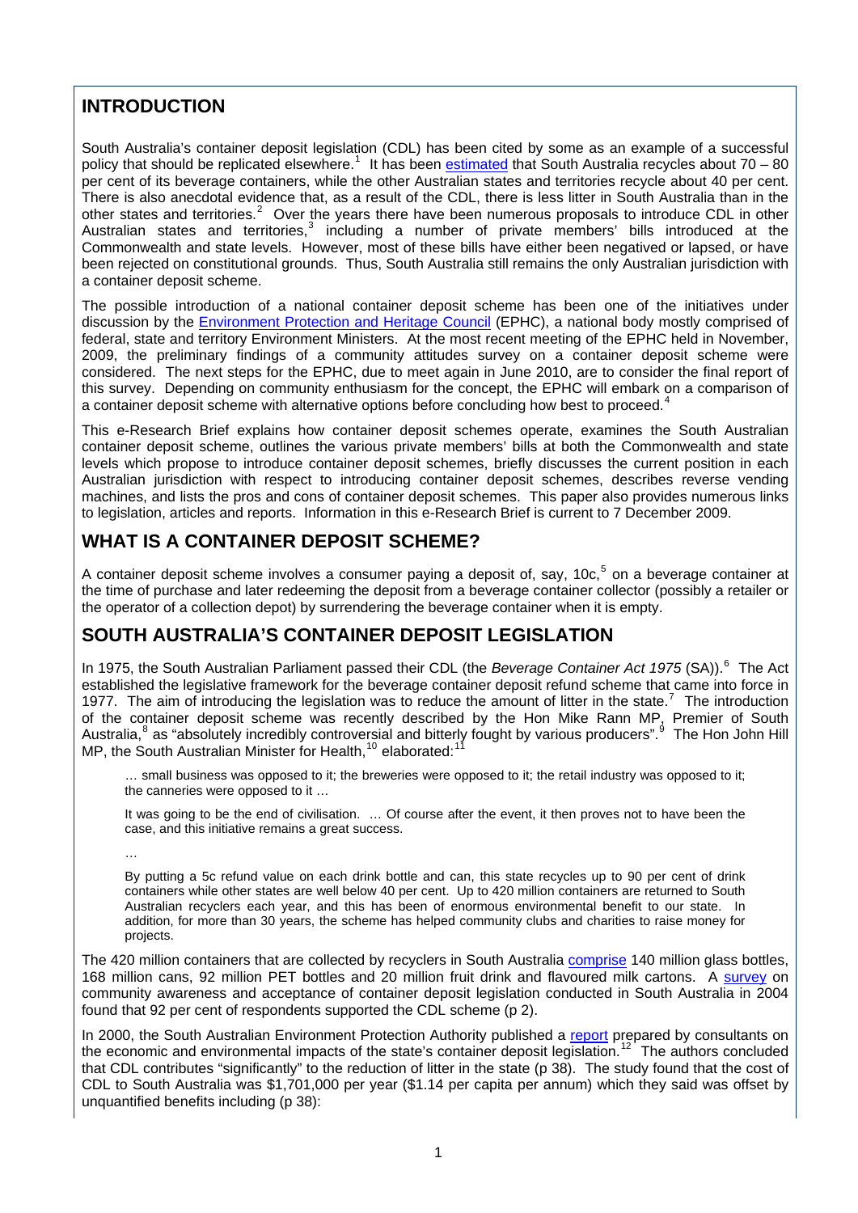## <span id="page-4-0"></span>**INTRODUCTION**

South Australia's container deposit legislation (CDL) has been cited by some as an example of a successful policy that should be replicated elsewhere.<sup>[1](#page-21-1)</sup> It has been [estimated](http://www.abc.net.au/7.30/content/2008/s2287158.htm) that South Australia recycles about 70 – 80 per cent of its beverage containers, while the other Australian states and territories recycle about 40 per cent. There is also anecdotal evidence that, as a result of the CDL, there is less litter in South Australia than in the other states and territories.<sup>[2](#page-21-2)</sup> Over the years there have been numerous proposals to introduce CDL in other Australian states and territories, including a number of private members' bills introduced at the Commonwealth and state levels. However, most of these bills have either been negatived or lapsed, or have been rejected on constitutional grounds. Thus, South Australia still remains the only Australian jurisdiction with a container deposit scheme.

The possible introduction of a national container deposit scheme has been one of the initiatives under discussion by the [Environment Protection and Heritage Council](http://www.ephc.gov.au/) (EPHC), a national body mostly comprised of federal, state and territory Environment Ministers. At the most recent meeting of the EPHC held in November, 2009, the preliminary findings of a community attitudes survey on a container deposit scheme were considered. The next steps for the EPHC, due to meet again in June 2010, are to consider the final report of this survey. Depending on community enthusiasm for the concept, the EPHC will embark on a comparison of a container deposit scheme with alternative options before concluding how best to proceed.

This e-Research Brief explains how container deposit schemes operate, examines the South Australian container deposit scheme, outlines the various private members' bills at both the Commonwealth and state levels which propose to introduce container deposit schemes, briefly discusses the current position in each Australian jurisdiction with respect to introducing container deposit schemes, describes reverse vending machines, and lists the pros and cons of container deposit schemes. This paper also provides numerous links to legislation, articles and reports. Information in this e-Research Brief is current to 7 December 2009.

## <span id="page-4-1"></span>**WHAT IS A CONTAINER DEPOSIT SCHEME?**

A container deposit scheme involves a consumer paying a deposit of, say, 10c,<sup>[5](#page-21-5)</sup> on a beverage container at the time of purchase and later redeeming the deposit from a beverage container collector (possibly a retailer or the operator of a collection depot) by surrendering the beverage container when it is empty.

## <span id="page-4-2"></span>**SOUTH AUSTRALIA'S CONTAINER DEPOSIT LEGISLATION**

In 1975, the South Australian Parliament passed their CDL (the *Beverage Container Act 1975* (SA)).<sup>[6](#page-21-6)</sup> The Act established the legislative framework for the beverage container deposit refund scheme that came into force in 19[7](#page-21-7)7. The aim of introducing the legislation was to reduce the amount of litter in the state.<sup>7</sup> The introduction of the container deposit scheme was recently described by the Hon Mike Rann MP, Premier of South Australia,<sup>[8](#page-21-8)</sup> as "absolutely incredibly controversial and bitterly fought by various producers".<sup>[9](#page-21-9)</sup> The Hon John Hill MP, the South Australian Minister for Health,<sup>[10](#page-21-10)</sup> elaborated:<sup>11</sup>

… small business was opposed to it; the breweries were opposed to it; the retail industry was opposed to it; the canneries were opposed to it …

It was going to be the end of civilisation. … Of course after the event, it then proves not to have been the case, and this initiative remains a great success.

…

By putting a 5c refund value on each drink bottle and can, this state recycles up to 90 per cent of drink containers while other states are well below 40 per cent. Up to 420 million containers are returned to South Australian recyclers each year, and this has been of enormous environmental benefit to our state. In addition, for more than 30 years, the scheme has helped community clubs and charities to raise money for projects.

The 420 million containers that are collected by recyclers in South Australia [comprise](http://www.ministers.sa.gov.au/news.php?id=2757) 140 million glass bottles, 168 million cans, 92 million PET bottles and 20 million fruit drink and flavoured milk cartons. A [survey](http://www.bottlebill.org/assets/pdfs/legis/world/australia/SA-2003-CDLacceptance.pdf) on community awareness and acceptance of container deposit legislation conducted in South Australia in 2004 found that 92 per cent of respondents supported the CDL scheme (p 2).

In 2000, the South Australian Environment Protection Authority published a [report](http://epanote2.epa.vic.gov.au/EPA/publications.nsf/515bc2fde7bf93f44a2565b6001ee896/6d91a8a4c77802deca256cc4000f5cc1/$FILE/883.pdf) prepared by consultants on the economic and environmental impacts of the state's container deposit legislation.<sup>[12](#page-21-11)</sup> The authors concluded that CDL contributes "significantly" to the reduction of litter in the state (p 38). The study found that the cost of CDL to South Australia was \$1,701,000 per year (\$1.14 per capita per annum) which they said was offset by unquantified benefits including (p 38):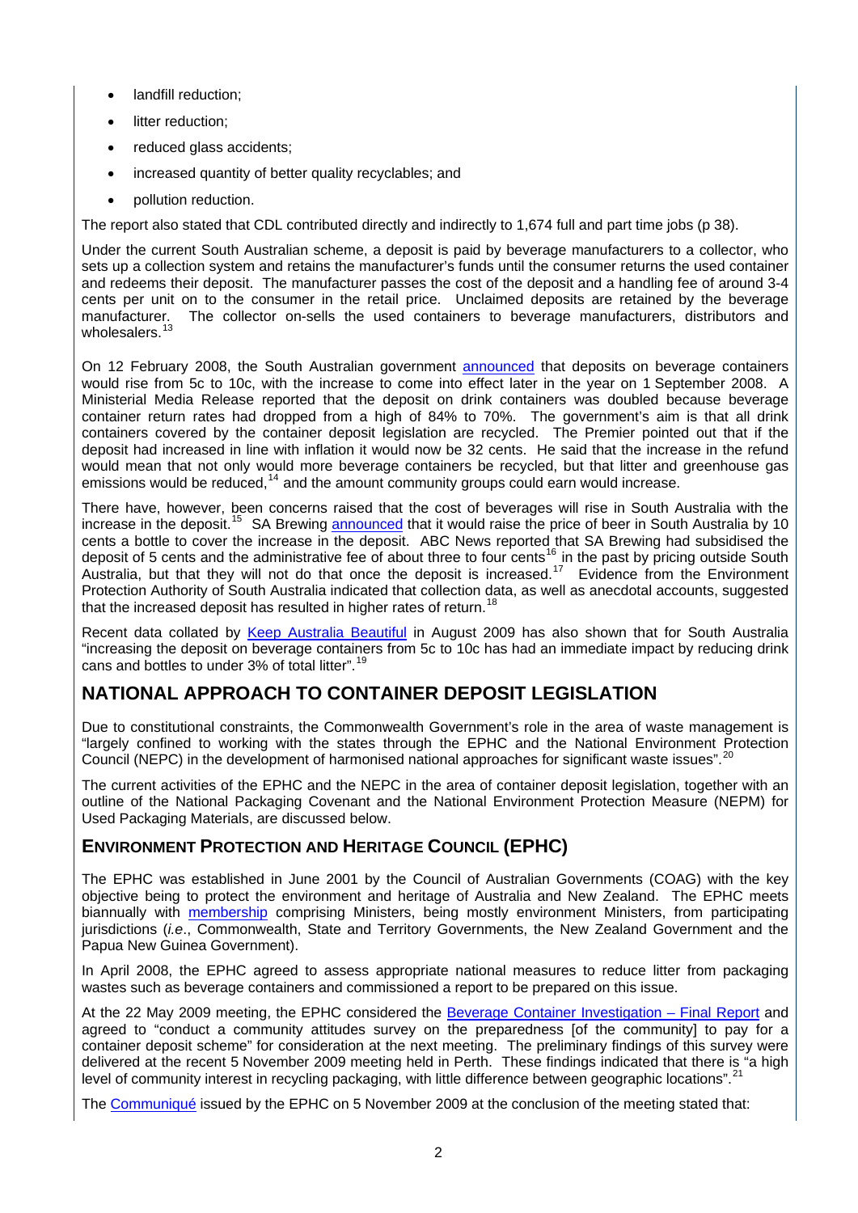- landfill reduction;
- litter reduction:
- reduced glass accidents;
- increased quantity of better quality recyclables; and
- **pollution reduction.**

The report also stated that CDL contributed directly and indirectly to 1,674 full and part time jobs (p 38).

Under the current South Australian scheme, a deposit is paid by beverage manufacturers to a collector, who sets up a collection system and retains the manufacturer's funds until the consumer returns the used container and redeems their deposit. The manufacturer passes the cost of the deposit and a handling fee of around 3-4 cents per unit on to the consumer in the retail price. Unclaimed deposits are retained by the beverage The collector on-sells the used containers to beverage manufacturers, distributors and wholesalers.

On 12 February 2008, the South Australian government [announced](http://www.ministers.sa.gov.au/news.php?id=2757) that deposits on beverage containers would rise from 5c to 10c, with the increase to come into effect later in the year on 1 September 2008. A Ministerial Media Release reported that the deposit on drink containers was doubled because beverage container return rates had dropped from a high of 84% to 70%. The government's aim is that all drink containers covered by the container deposit legislation are recycled. The Premier pointed out that if the deposit had increased in line with inflation it would now be 32 cents. He said that the increase in the refund would mean that not only would more beverage containers be recycled, but that litter and greenhouse gas emissions would be reduced,<sup>[14](#page-22-1)</sup> and the amount community groups could earn would increase.

There have, however, been concerns raised that the cost of beverages will rise in South Australia with the increase in the deposit.<sup>[15](#page-22-2)</sup> SA Brewing [announced](http://www.abc.net.au/news/stories/2008/06/25/2286060.htm) that it would raise the price of beer in South Australia by 10 cents a bottle to cover the increase in the deposit. ABC News reported that SA Brewing had subsidised the deposit of 5 cents and the administrative fee of about three to four cents<sup>[16](#page-22-3)</sup> in the past by pricing outside South Australia, but that they will not do that once the deposit is increased.<sup>[17](#page-22-4)</sup> Evidence from the Environment Protection Authority of South Australia indicated that collection data, as well as anecdotal accounts, suggested that the increased deposit has resulted in higher rates of return.

Recent data collated by [Keep Australia Beautiful](http://kab.org.au/) in August 2009 has also shown that for South Australia "increasing the deposit on beverage containers from 5c to 10c has had an immediate impact by reducing drink cans and bottles to under 3% of total litter".<sup>1</sup>

## <span id="page-5-0"></span>**NATIONAL APPROACH TO CONTAINER DEPOSIT LEGISLATION**

Due to constitutional constraints, the Commonwealth Government's role in the area of waste management is "largely confined to working with the states through the EPHC and the National Environment Protection Council (NEPC) in the development of harmonised national approaches for significant waste issues".<sup>[20](#page-22-7)</sup>

The current activities of the EPHC and the NEPC in the area of container deposit legislation, together with an outline of the National Packaging Covenant and the National Environment Protection Measure (NEPM) for Used Packaging Materials, are discussed below.

#### <span id="page-5-1"></span>**ENVIRONMENT PROTECTION AND HERITAGE COUNCIL (EPHC)**

The EPHC was established in June 2001 by the Council of Australian Governments (COAG) with the key objective being to protect the environment and heritage of Australia and New Zealand. The EPHC meets biannually with [membership](http://www.ephc.gov.au/about-us) comprising Ministers, being mostly environment Ministers, from participating jurisdictions (*i.e*., Commonwealth, State and Territory Governments, the New Zealand Government and the Papua New Guinea Government).

In April 2008, the EPHC agreed to assess appropriate national measures to reduce litter from packaging wastes such as beverage containers and commissioned a report to be prepared on this issue.

At the 22 May 2009 meeting, the EPHC considered the [Beverage Container Investigation – Final Report](http://www.ephc.gov.au/taxonomy/term/53) and agreed to "conduct a community attitudes survey on the preparedness [of the community] to pay for a container deposit scheme" for consideration at the next meeting. The preliminary findings of this survey were delivered at the recent 5 November 2009 meeting held in Perth. These findings indicated that there is "a high level of community interest in recycling packaging, with little difference between geographic locations".<sup>[21](#page-22-8)</sup>

The [Communiqué](http://www.ephc.gov.au/sites/default/files/EPHC_Cmq__Communique_2009_11_05.pdf) issued by the EPHC on 5 November 2009 at the conclusion of the meeting stated that: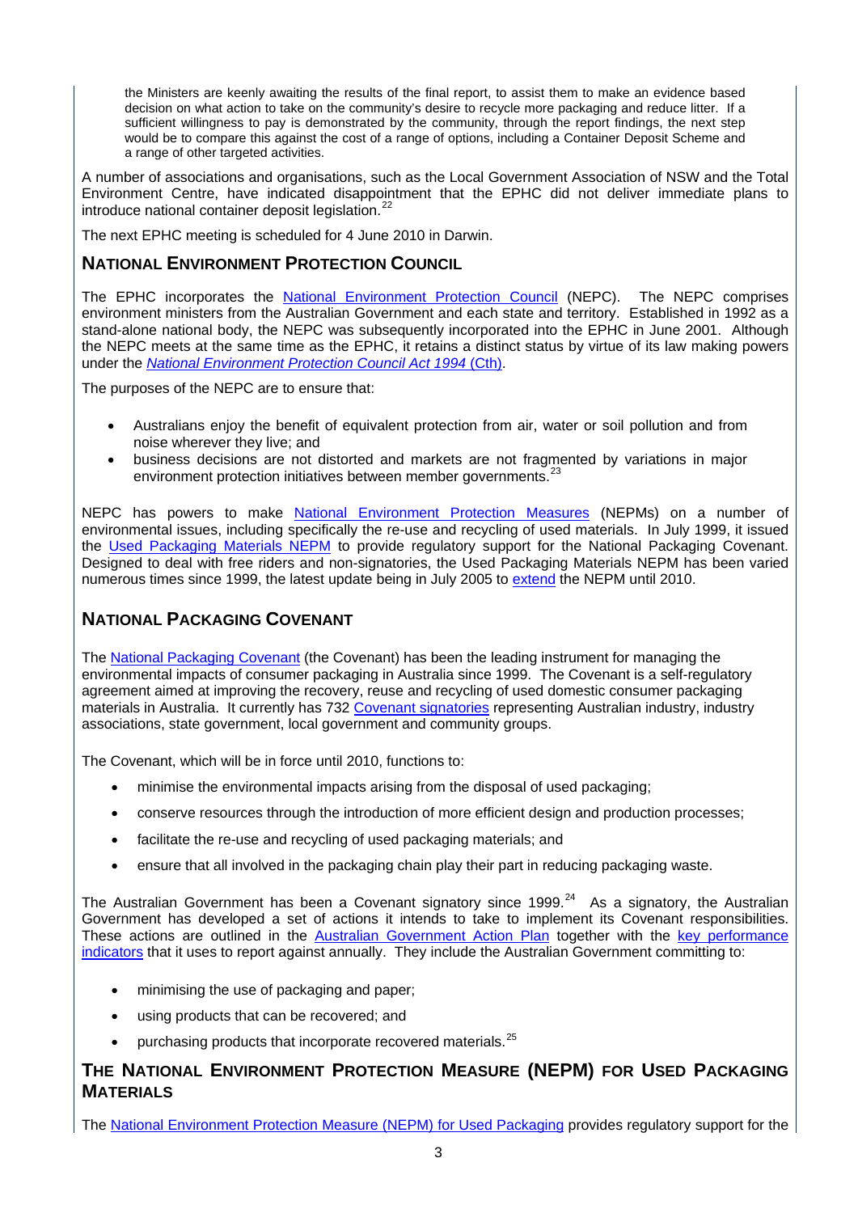the Ministers are keenly awaiting the results of the final report, to assist them to make an evidence based decision on what action to take on the community's desire to recycle more packaging and reduce litter. If a sufficient willingness to pay is demonstrated by the community, through the report findings, the next step would be to compare this against the cost of a range of options, including a Container Deposit Scheme and a range of other targeted activities.

A number of associations and organisations, such as the Local Government Association of NSW and the Total Environment Centre, have indicated disappointment that the EPHC did not deliver immediate plans to introduce national container deposit legislation.<sup>[22](#page-22-9)</sup>

The next EPHC meeting is scheduled for 4 June 2010 in Darwin.

## <span id="page-6-0"></span>**NATIONAL ENVIRONMENT PROTECTION COUNCIL**

The EPHC incorporates the [National Environment Protection Council](http://www.ephc.gov.au/taxonomy/term/48) (NEPC). The NEPC comprises environment ministers from the Australian Government and each state and territory. Established in 1992 as a stand-alone national body, the NEPC was subsequently incorporated into the EPHC in June 2001. Although the NEPC meets at the same time as the EPHC, it retains a distinct status by virtue of its law making powers under the *[National Environment Protection Council Act 1994](http://www.comlaw.gov.au/comlaw/management.nsf/lookupindexpagesbyid/IP200403772?OpenDocument)* (Cth).

The purposes of the NEPC are to ensure that:

- Australians enjoy the benefit of equivalent protection from air, water or soil pollution and from noise wherever they live; and
- business decisions are not distorted and markets are not fragmented by variations in major environment protection initiatives between member governments.<sup>[23](#page-22-10)</sup>

NEPC has powers to make [National Environment Protection Measures](http://www.ephc.gov.au/nepms) (NEPMs) on a number of environmental issues, including specifically the re-use and recycling of used materials. In July 1999, it issued the [Used Packaging Materials NEPM](http://www.ephc.gov.au/taxonomy/term/48) to provide regulatory support for the National Packaging Covenant. Designed to deal with free riders and non-signatories, the Used Packaging Materials NEPM has been varied numerous times since 1999, the latest update being in July 2005 to [extend](http://www.ephc.gov.au/taxonomy/term/48) the NEPM until 2010.

## <span id="page-6-1"></span>**NATIONAL PACKAGING COVENANT**

The [National Packaging Covenant](http://www.environment.gov.au/settlements/waste/covenant/index.html) (the Covenant) has been the leading instrument for managing the environmental impacts of consumer packaging in Australia since 1999. The Covenant is a self-regulatory agreement aimed at improving the recovery, reuse and recycling of used domestic consumer packaging materials in Australia. It currently has 732 [Covenant signatories](http://www.packagingcovenant.org.au/page.php?name=currentsignatories) representing Australian industry, industry associations, state government, local government and community groups.

The Covenant, which will be in force until 2010, functions to:

- minimise the environmental impacts arising from the disposal of used packaging;
- conserve resources through the introduction of more efficient design and production processes;
- facilitate the re-use and recycling of used packaging materials; and
- ensure that all involved in the packaging chain play their part in reducing packaging waste.

The Australian Government has been a Covenant signatory since 1999.<sup>[24](#page-22-11)</sup> As a signatory, the Australian Government has developed a set of actions it intends to take to implement its Covenant responsibilities. These actions are outlined in the [Australian Government Action Plan](http://www.environment.gov.au/settlements/waste/covenant/publications/action-plan.html) together with the key performance [indicators](http://www.environment.gov.au/settlements/waste/covenant/publications/pubs/npc-actionplan-2008-2010.pdf) that it uses to report against annually. They include the Australian Government committing to:

- minimising the use of packaging and paper;
- using products that can be recovered; and
- purchasing products that incorporate recovered materials.<sup>[25](#page-22-12)</sup>

### <span id="page-6-2"></span>**THE NATIONAL ENVIRONMENT PROTECTION MEASURE (NEPM) FOR USED PACKAGING MATERIALS**

The [National Environment Protection Measure \(NEPM\) for Used Packaging](http://www.ephc.gov.au/taxonomy/term/48) provides regulatory support for the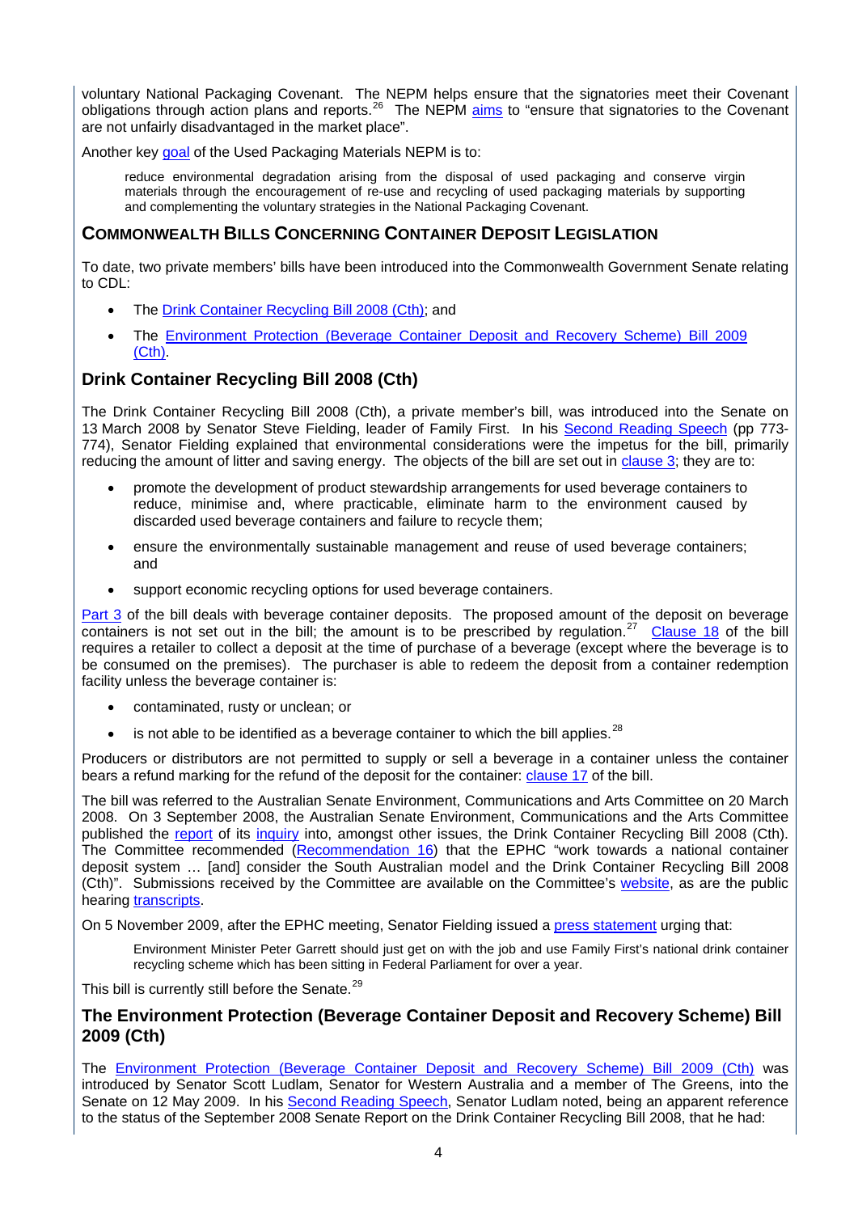voluntary National Packaging Covenant. The NEPM helps ensure that the signatories meet their Covenant obligations through action plans and reports.[26](#page-22-13) The NEPM [aims](http://www.ephc.gov.au/taxonomy/term/48) to "ensure that signatories to the Covenant are not unfairly disadvantaged in the market place".

Another key [goal](http://www.ephc.gov.au/taxonomy/term/48) of the Used Packaging Materials NEPM is to:

reduce environmental degradation arising from the disposal of used packaging and conserve virgin materials through the encouragement of re-use and recycling of used packaging materials by supporting and complementing the voluntary strategies in the National Packaging Covenant.

#### <span id="page-7-0"></span>**COMMONWEALTH BILLS CONCERNING CONTAINER DEPOSIT LEGISLATION**

To date, two private members' bills have been introduced into the Commonwealth Government Senate relating to CDL:

- The [Drink Container Recycling Bill 2008 \(Cth\)](http://parlinfo.aph.gov.au/parlInfo/search/summary/summary.w3p;query=(Dataset:billhome%20SearchCategory_Phrase:%22bills%20and%20legislation%22%20Dataset_Phrase:%22billhome%22)%20Title:%22Drink%20Container%20Recycling%20Bill%202008%22;orderBy=alphaAss;;rec=0;); and
- The [Environment Protection \(Beverage Container Deposit and Recovery Scheme\) Bill 2009](http://www.comlaw.gov.au/comlaw/Legislation/Bills1.nsf/0/7517F0C8FBD8AB72CA2575B7000EC7FD?OpenDocument)  [\(Cth\).](http://www.comlaw.gov.au/comlaw/Legislation/Bills1.nsf/0/7517F0C8FBD8AB72CA2575B7000EC7FD?OpenDocument)

#### <span id="page-7-1"></span>**Drink Container Recycling Bill 2008 (Cth)**

The Drink Container Recycling Bill 2008 (Cth), a private member's bill, was introduced into the Senate on 13 March 2008 by Senator Steve Fielding, leader of Family First. In his [Second Reading Speech](http://parlinfo.aph.gov.au/parlInfo/search/display/display.w3p;adv=;db=;group=;holdingType=;id=;orderBy=;page=;query=BillId_Phrase%3A%22s621%22%20Dataset%3Ahansardr,hansards%20Title%3A%22second%20reading%22;querytype=;rec=0;resCount=) (pp 773- 774), Senator Fielding explained that environmental considerations were the impetus for the bill, primarily reducing the amount of litter and saving energy. The objects of the bill are set out in [clause 3;](http://parlinfo.aph.gov.au/parlInfo/download/legislation/bills/s621_first/toc_pdf/0805120.pdf;fileType=application%2Fpdf) they are to:

- promote the development of product stewardship arrangements for used beverage containers to reduce, minimise and, where practicable, eliminate harm to the environment caused by discarded used beverage containers and failure to recycle them;
- ensure the environmentally sustainable management and reuse of used beverage containers; and
- support economic recycling options for used beverage containers.

[Part 3](http://parlinfo.aph.gov.au/parlInfo/download/legislation/bills/s621_first/toc_pdf/0805120.pdf;fileType=application%2Fpdf) of the bill deals with beverage container deposits. The proposed amount of the deposit on beverage containers is not set out in the bill; the amount is to be prescribed by regulation.<sup>[27](#page-22-14)</sup> [Clause 18](http://parlinfo.aph.gov.au/parlInfo/download/legislation/bills/s621_first/toc_pdf/0805120.pdf;fileType=application%2Fpdf) of the bill requires a retailer to collect a deposit at the time of purchase of a beverage (except where the beverage is to be consumed on the premises). The purchaser is able to redeem the deposit from a container redemption facility unless the beverage container is:

- contaminated, rusty or unclean; or
- is not able to be identified as a beverage container to which the bill applies. $^{28}$  $^{28}$  $^{28}$

Producers or distributors are not permitted to supply or sell a beverage in a container unless the container bears a refund marking for the refund of the deposit for the container: [clause 17](http://parlinfo.aph.gov.au/parlInfo/download/legislation/bills/s621_first/toc_pdf/0805120.pdf;fileType=application%2Fpdf) of the bill.

The bill was referred to the Australian Senate Environment, Communications and Arts Committee on 20 March 2008. On 3 September 2008, the Australian Senate Environment, Communications and the Arts Committee published the [report](http://www.aph.gov.au/Senate/committee/eca_ctte/aust_waste_streams/report/index.htm) of its [inquiry](http://www.aph.gov.au/Senate/committee/eca_ctte/aust_waste_streams/index.htm) into, amongst other issues, the Drink Container Recycling Bill 2008 (Cth). The Committee recommended ([Recommendation 16\)](http://www.aph.gov.au/Senate/committee/eca_ctte/aust_waste_streams/report/report.pdf) that the EPHC "work towards a national container deposit system … [and] consider the South Australian model and the Drink Container Recycling Bill 2008 (Cth)". Submissions received by the Committee are available on the Committee's [website,](http://www.aph.gov.au/Senate/committee/eca_ctte/aust_waste_streams/submissions/sublist.htm) as are the public hearing [transcripts.](http://www.aph.gov.au/Senate/committee/eca_ctte/aust_waste_streams/hearings/index.htm)

On 5 November 2009, after the EPHC meeting, Senator Fielding issued a [press statement](http://www.stevefielding.com.au/images/press_room/SF571_051109_Container_Recycling.pdf) urging that:

Environment Minister Peter Garrett should just get on with the job and use Family First's national drink container recycling scheme which has been sitting in Federal Parliament for over a year.

This bill is currently still before the Senate.<sup>[29](#page-22-16)</sup>

#### <span id="page-7-2"></span>**The Environment Protection (Beverage Container Deposit and Recovery Scheme) Bill 2009 (Cth)**

The [Environment Protection \(Beverage Container Deposit and Recovery Scheme\) Bill 2009 \(Cth\)](http://www.comlaw.gov.au/comlaw/Legislation/Bills1.nsf/0/7517F0C8FBD8AB72CA2575B7000EC7FD?OpenDocument) was introduced by Senator Scott Ludlam, Senator for Western Australia and a member of The Greens, into the Senate on 12 May 2009. In his [Second Reading Speech,](http://parlinfo.aph.gov.au/parlInfo/search/display/display.w3p;query=Id:%22legislation/billhome/s714%22) Senator Ludlam noted, being an apparent reference to the status of the September 2008 Senate Report on the Drink Container Recycling Bill 2008, that he had: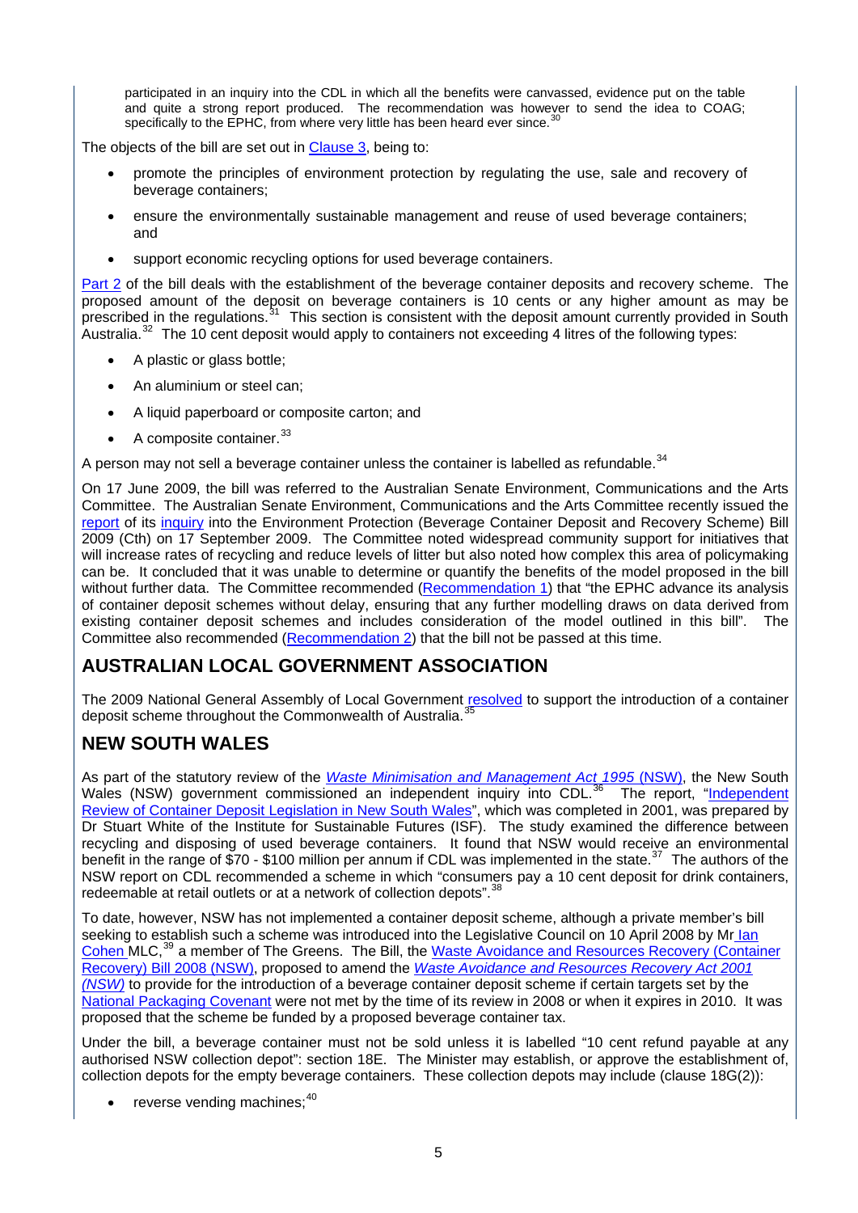participated in an inquiry into the CDL in which all the benefits were canvassed, evidence put on the table and quite a strong report produced. The recommendation was however to send the idea to COAG; specifically to the EPHC, from where very little has been heard ever since.<sup>3</sup>

The objects of the bill are set out in [Clause 3](http://www.comlaw.gov.au/comlaw/Legislation/Bills1.nsf/0/7517F0C8FBD8AB72CA2575B7000EC7FD?OpenDocument), being to:

- promote the principles of environment protection by regulating the use, sale and recovery of beverage containers;
- ensure the environmentally sustainable management and reuse of used beverage containers; and
- support economic recycling options for used beverage containers.

[Part 2](http://www.comlaw.gov.au/comlaw/Legislation/Bills1.nsf/0/7517F0C8FBD8AB72CA2575B7000EC7FD?OpenDocument) of the bill deals with the establishment of the beverage container deposits and recovery scheme. The proposed amount of the deposit on beverage containers is 10 cents or any higher amount as may be prescribed in the regulations.<sup>[31](#page-22-18)</sup> This section is consistent with the deposit amount currently provided in South Australia.<sup>[32](#page-22-19)</sup> The 10 cent deposit would apply to containers not exceeding 4 litres of the following types:

- A plastic or glass bottle;
- An aluminium or steel can;
- A liquid paperboard or composite carton; and
- A composite container.<sup>[33](#page-22-20)</sup>

A person may not sell a beverage container unless the container is labelled as refundable.<sup>[34](#page-23-0)</sup>

On 17 June 2009, the bill was referred to the Australian Senate Environment, Communications and the Arts Committee. The Australian Senate Environment, Communications and the Arts Committee recently issued the [report](http://www.aph.gov.au/Senate/committee/eca_ctte/environment_protect_09/report/index.htm) of its [inquiry](http://www.aph.gov.au/Senate/committee/eca_ctte/environment_protect_09/index.htm) into the Environment Protection (Beverage Container Deposit and Recovery Scheme) Bill 2009 (Cth) on 17 September 2009. The Committee noted widespread community support for initiatives that will increase rates of recycling and reduce levels of litter but also noted how complex this area of policymaking can be. It concluded that it was unable to determine or quantify the benefits of the model proposed in the bill without further data. The Committee recommended [\(Recommendation 1](http://www.aph.gov.au/Senate/committee/eca_ctte/environment_protect_09/report/c02.htm#anc5)) that "the EPHC advance its analysis of container deposit schemes without delay, ensuring that any further modelling draws on data derived from existing container deposit schemes and includes consideration of the model outlined in this bill". The Committee also recommended [\(Recommendation 2\)](http://www.aph.gov.au/Senate/committee/eca_ctte/environment_protect_09/report/c02.htm#anc5) that the bill not be passed at this time.

## <span id="page-8-0"></span>**AUSTRALIAN LOCAL GOVERNMENT ASSOCIATION**

The 2009 National General Assembly of Local Government [resolved](http://nga.alga.asn.au/business/resolutions/2009) to support the introduction of a container deposit scheme throughout the Commonwealth of Australia.<sup>[35](#page-23-1)</sup>

## <span id="page-8-1"></span>**NEW SOUTH WALES**

As part of the statutory review of the *[Waste Minimisation and Management Act 1995](http://www.legislation.nsw.gov.au/sessionalview/sessional/subordleg/1996-374.pdf)* (NSW), the New South Wales (NSW) government commissioned an independent inquiry into CDL.<sup>[36](#page-23-2)</sup> The report, "Independent [Review of Container Deposit Legislation in New South Wales"](http://www.lgsa.org.au/resources/documents/Independent_Review.pdf), which was completed in 2001, was prepared by Dr Stuart White of the Institute for Sustainable Futures (ISF). The study examined the difference between recycling and disposing of used beverage containers. It found that NSW would receive an environmental benefit in the range of \$70 - \$100 million per annum if CDL was implemented in the state.[37](#page-23-3) The authors of the NSW report on CDL recommended a scheme in which "consumers pay a 10 cent deposit for drink containers, redeemable at retail outlets or at a network of collection depots". <sup>[38](#page-23-4)</sup>

To date, however, NSW has not implemented a container deposit scheme, although a private member's bill seeking to establish such a scheme was introduced into the Legislative Council on 10 April 2008 by Mr Ian [Cohen M](http://www.parliament.nsw.gov.au/prod/parlment/members.nsf/0/E90A3886CE55332E4A25672E0002E1D2)LC,<sup>[39](#page-23-5)</sup> a member of The Greens. The Bill, the Waste Avoidance and Resources Recovery (Container [Recovery\) Bill 2008 \(NSW\)](http://www.parliament.nsw.gov.au/prod/parlment/nswbills.nsf/131a07fa4b8a041cca256e610012de17/bf517113ea29b646ca2572d6007cfe94/$FILE/b2005-956-d11-House.pdf), proposed to amend the *[Waste Avoidance and Resources Recovery Act 2001](http://www.parliament.nsw.gov.au/prod/parlment/NSWBills.nsf/d2117e6bba4ab3ebca256e68000a0ae2/bf517113ea29b646ca2572d6007cfe94!OpenDocument)  [\(NSW\)](http://www.parliament.nsw.gov.au/prod/parlment/NSWBills.nsf/d2117e6bba4ab3ebca256e68000a0ae2/bf517113ea29b646ca2572d6007cfe94!OpenDocument)* to provide for the introduction of a beverage container deposit scheme if certain targets set by the [National Packaging Covenant](http://www.environment.gov.au/settlements/waste/covenant/index.html) were not met by the time of its review in 2008 or when it expires in 2010. It was proposed that the scheme be funded by a proposed beverage container tax.

Under the bill, a beverage container must not be sold unless it is labelled "10 cent refund payable at any authorised NSW collection depot": section 18E. The Minister may establish, or approve the establishment of, collection depots for the empty beverage containers. These collection depots may include (clause 18G(2)):

reverse vending machines;<sup>[40](#page-23-6)</sup>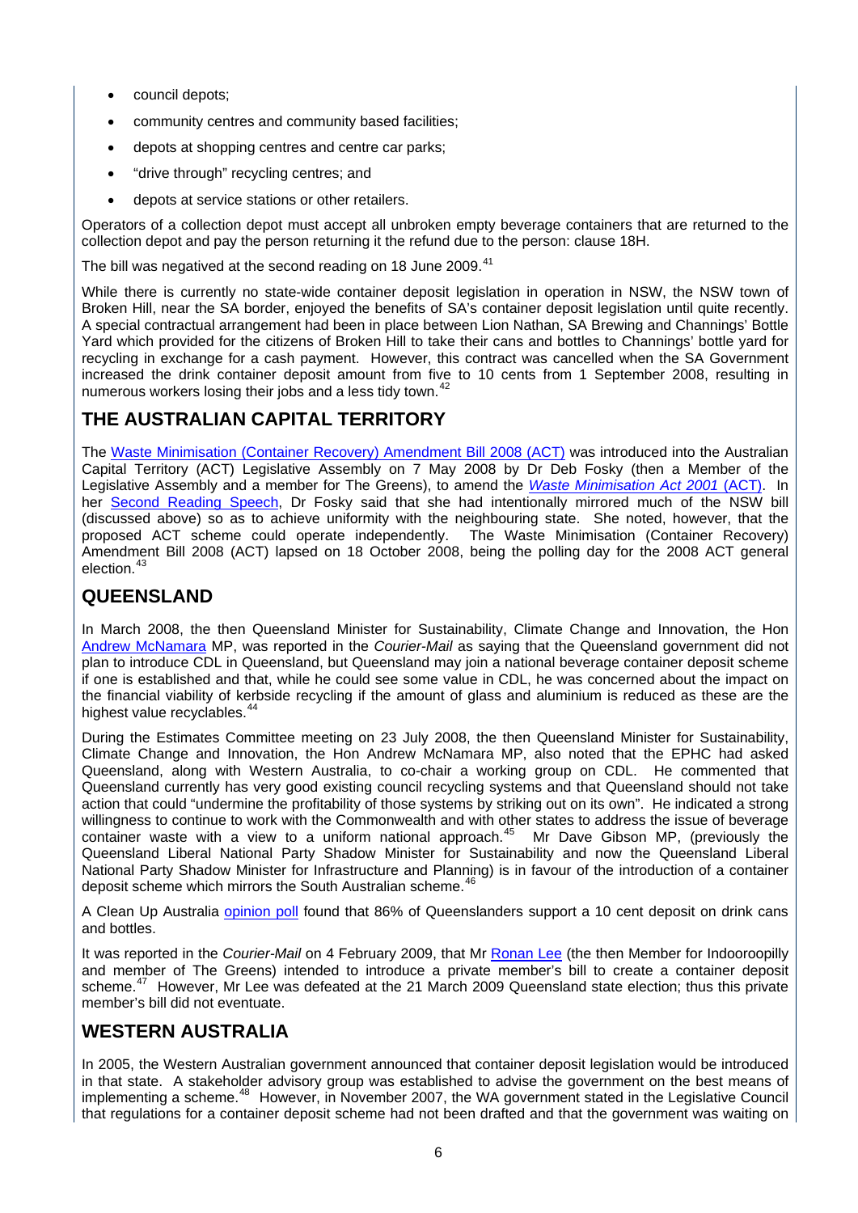- council depots;
- community centres and community based facilities;
- depots at shopping centres and centre car parks;
- "drive through" recycling centres; and
- depots at service stations or other retailers.

Operators of a collection depot must accept all unbroken empty beverage containers that are returned to the collection depot and pay the person returning it the refund due to the person: clause 18H.

The bill was negatived at the second reading on 18 June 2009.<sup>[41](#page-23-7)</sup>

While there is currently no state-wide container deposit legislation in operation in NSW, the NSW town of Broken Hill, near the SA border, enjoyed the benefits of SA's container deposit legislation until quite recently. A special contractual arrangement had been in place between Lion Nathan, SA Brewing and Channings' Bottle Yard which provided for the citizens of Broken Hill to take their cans and bottles to Channings' bottle yard for recycling in exchange for a cash payment. However, this contract was cancelled when the SA Government increased the drink container deposit amount from five to 10 cents from 1 September 2008, resulting in numerous workers losing their jobs and a less tidy town.<sup>4</sup>

## <span id="page-9-0"></span>**THE AUSTRALIAN CAPITAL TERRITORY**

The [Waste Minimisation \(Container Recovery\) Amendment Bill 2008 \(ACT\)](http://www.legislation.act.gov.au/b/db_32361/default.asp) was introduced into the Australian Capital Territory (ACT) Legislative Assembly on 7 May 2008 by Dr Deb Fosky (then a Member of the Legislative Assembly and a member for The Greens), to amend the *[Waste Minimisation Act 2001](http://www.legislation.act.gov.au/a/2001-31/default.asp)* (ACT). In her [Second Reading Speech](http://www.hansard.act.gov.au/hansard/2008/week05/1478.htm), Dr Fosky said that she had intentionally mirrored much of the NSW bill (discussed above) so as to achieve uniformity with the neighbouring state. She noted, however, that the proposed ACT scheme could operate independently. The Waste Minimisation (Container Recovery) Amendment Bill 2008 (ACT) lapsed on 18 October 2008, being the polling day for the 2008 ACT general election.<sup>4</sup>

## <span id="page-9-1"></span>**QUEENSLAND**

In March 2008, the then Queensland Minister for Sustainability, Climate Change and Innovation, the Hon [Andrew McNamara](http://www.parliament.qld.gov.au/view/historical/documents/memberBio/McNamaraAndrew.htm) MP, was reported in the *Courier-Mail* as saying that the Queensland government did not plan to introduce CDL in Queensland, but Queensland may join a national beverage container deposit scheme if one is established and that, while he could see some value in CDL, he was concerned about the impact on the financial viability of kerbside recycling if the amount of glass and aluminium is reduced as these are the highest value recyclables.<sup>[44](#page-23-10)</sup>

During the Estimates Committee meeting on 23 July 2008, the then Queensland Minister for Sustainability, Climate Change and Innovation, the Hon Andrew McNamara MP, also noted that the EPHC had asked Queensland, along with Western Australia, to co-chair a working group on CDL. He commented that Queensland currently has very good existing council recycling systems and that Queensland should not take action that could "undermine the profitability of those systems by striking out on its own". He indicated a strong willingness to continue to work with the Commonwealth and with other states to address the issue of beverage container waste with a view to a uniform national approach.<sup>[45](#page-23-11)</sup> Mr Dave Gibson MP, (previously the Queensland Liberal National Party Shadow Minister for Sustainability and now the Queensland Liberal National Party Shadow Minister for Infrastructure and Planning) is in favour of the introduction of a container deposit scheme which mirrors the South Australian scheme.<sup>[46](#page-23-12)</sup>

A Clean Up Australia [opinion poll](http://www.cleanup.org.au/au/NewsandMedia/study-finds-refund-scheme-for-bottles-cans-in-qld-urgently-needed.html) found that 86% of Queenslanders support a 10 cent deposit on drink cans and bottles.

It was reported in the *Courier-Mail* on 4 February 2009, that Mr [Ronan Lee](http://www.parliament.qld.gov.au/view/historical/documents/memberBio/LeeRonan.htm) (the then Member for Indooroopilly and member of The Greens) intended to introduce a private member's bill to create a container deposit scheme.<sup>[47](#page-23-13)</sup> However, Mr Lee was defeated at the 21 March 2009 Queensland state election; thus this private member's bill did not eventuate.

## <span id="page-9-2"></span>**WESTERN AUSTRALIA**

In 2005, the Western Australian government announced that container deposit legislation would be introduced in that state. A stakeholder advisory group was established to advise the government on the best means of implementing a scheme.<sup>[48](#page-23-14)</sup> However, in November 2007, the WA government stated in the Legislative Council that regulations for a container deposit scheme had not been drafted and that the government was waiting on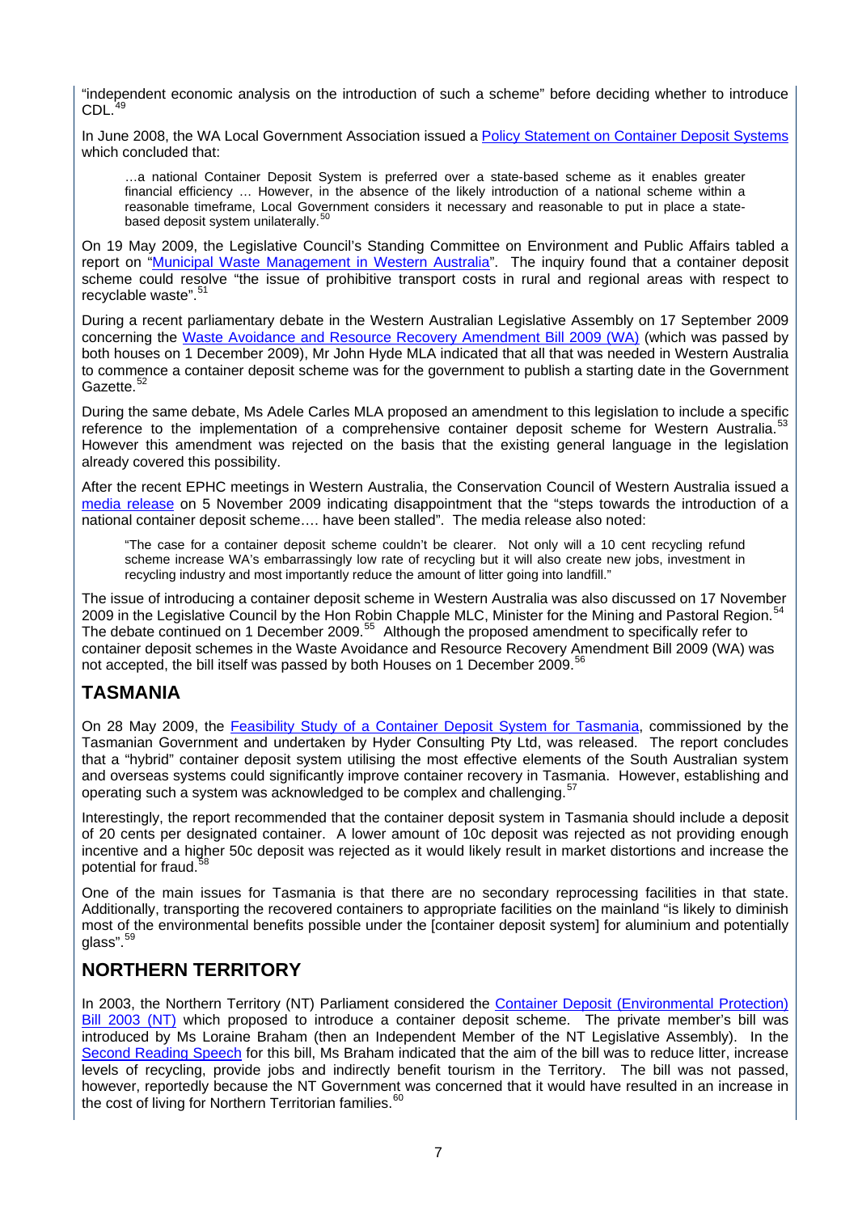"independent economic analysis on the introduction of such a scheme" before deciding whether to introduce CDL.

In June 2008, the WA Local Government Association issued a [Policy Statement on Container Deposit Systems](http://www.wastenet.net.au/policy/statements/CDSPolicy/file/at_download) which concluded that:

…a national Container Deposit System is preferred over a state-based scheme as it enables greater financial efficiency … However, in the absence of the likely introduction of a national scheme within a reasonable timeframe, Local Government considers it necessary and reasonable to put in place a state-based deposit system unilaterally.<sup>[50](#page-23-16)</sup>

On 19 May 2009, the Legislative Council's Standing Committee on Environment and Public Affairs tabled a report on "[Municipal Waste Management in Western Australia"](http://www.comlaw.gov.au/comlaw/Legislation/Bills1.nsf/0/7517F0C8FBD8AB72CA2575B7000EC7FD?OpenDocument&VIEWCAT=attachment&COUNT=999&START=1). The inquiry found that a container deposit scheme could resolve "the issue of prohibitive transport costs in rural and regional areas with respect to recyclable waste".<sup>[51](#page-23-17)</sup>

During a recent parliamentary debate in the Western Australian Legislative Assembly on 17 September 2009 concerning the [Waste Avoidance and Resource Recovery Amendment Bill 2009 \(WA\)](http://www.parliament.wa.gov.au/parliament/bills.nsf/BillProgressPopup?openForm&ParentUNID=21D46E88F95D725BC82575D90003114E) (which was passed by both houses on 1 December 2009), Mr John Hyde MLA indicated that all that was needed in Western Australia to commence a container deposit scheme was for the government to publish a starting date in the Government Gazette.<sup>[52](#page-23-18)</sup>

During the same debate, Ms Adele Carles MLA proposed an amendment to this legislation to include a specific reference to the implementation of a comprehensive container deposit scheme for Western Australia.<sup>5</sup> However this amendment was rejected on the basis that the existing general language in the legislation already covered this possibility.

After the recent EPHC meetings in Western Australia, the Conservation Council of Western Australia issued a [media release](http://conservationwa.asn.au/images/mediareleases/Nov2009/wa%20waste%20crisis%20to%20continue%20with%20ephc%20stalling%20on%20container%20deposits.pdf) on 5 November 2009 indicating disappointment that the "steps towards the introduction of a national container deposit scheme…. have been stalled". The media release also noted:

"The case for a container deposit scheme couldn't be clearer. Not only will a 10 cent recycling refund scheme increase WA's embarrassingly low rate of recycling but it will also create new jobs, investment in recycling industry and most importantly reduce the amount of litter going into landfill."

The issue of introducing a container deposit scheme in Western Australia was also discussed on 17 November 2009 in the Legislative Council by the Hon Robin Chapple MLC, Minister for the Mining and Pastoral Region.<sup>[54](#page-24-1)</sup> The debate continued on 1 December 2009.<sup>[55](#page-24-2)</sup> Although the proposed amendment to specifically refer to container deposit schemes in the Waste Avoidance and Resource Recovery Amendment Bill 2009 (WA) was not accepted, the bill itself was passed by both Houses on 1 December 2009.<sup>[56](#page-24-3)</sup>

## <span id="page-10-0"></span>**TASMANIA**

On 28 May 2009, the [Feasibility Study of a Container Deposit System for Tasmania,](http://www.environment.tas.gov.au/index.aspx?base=4994) commissioned by the Tasmanian Government and undertaken by Hyder Consulting Pty Ltd, was released. The report concludes that a "hybrid" container deposit system utilising the most effective elements of the South Australian system and overseas systems could significantly improve container recovery in Tasmania. However, establishing and operating such a system was acknowledged to be complex and challenging.<sup>[57](#page-24-4)</sup>

Interestingly, the report recommended that the container deposit system in Tasmania should include a deposit of 20 cents per designated container. A lower amount of 10c deposit was rejected as not providing enough incentive and a higher 50c deposit was rejected as it would likely result in market distortions and increase the potential for fraud.<sup>3</sup>

One of the main issues for Tasmania is that there are no secondary reprocessing facilities in that state. Additionally, transporting the recovered containers to appropriate facilities on the mainland "is likely to diminish most of the environmental benefits possible under the [container deposit system] for aluminium and potentially glass".[59](#page-24-6)

## <span id="page-10-1"></span>**NORTHERN TERRITORY**

In 2003, the Northern Territory (NT) Parliament considered the Container Deposit (Environmental Protection) [Bill 2003 \(NT\)](http://www.austlii.edu.au/au/legis/nt/bill/cdpb2003476/) which proposed to introduce a container deposit scheme. The private member's bill was introduced by Ms Loraine Braham (then an Independent Member of the NT Legislative Assembly). In the [Second Reading Speech](http://www.austlii.edu.au/au/legis/nt/bill_srs/cdpb2003476/srs.html) for this bill, Ms Braham indicated that the aim of the bill was to reduce litter, increase levels of recycling, provide jobs and indirectly benefit tourism in the Territory. The bill was not passed, however, reportedly because the NT Government was concerned that it would have resulted in an increase in the cost of living for Northern Territorian families.<sup>[60](#page-24-7)</sup>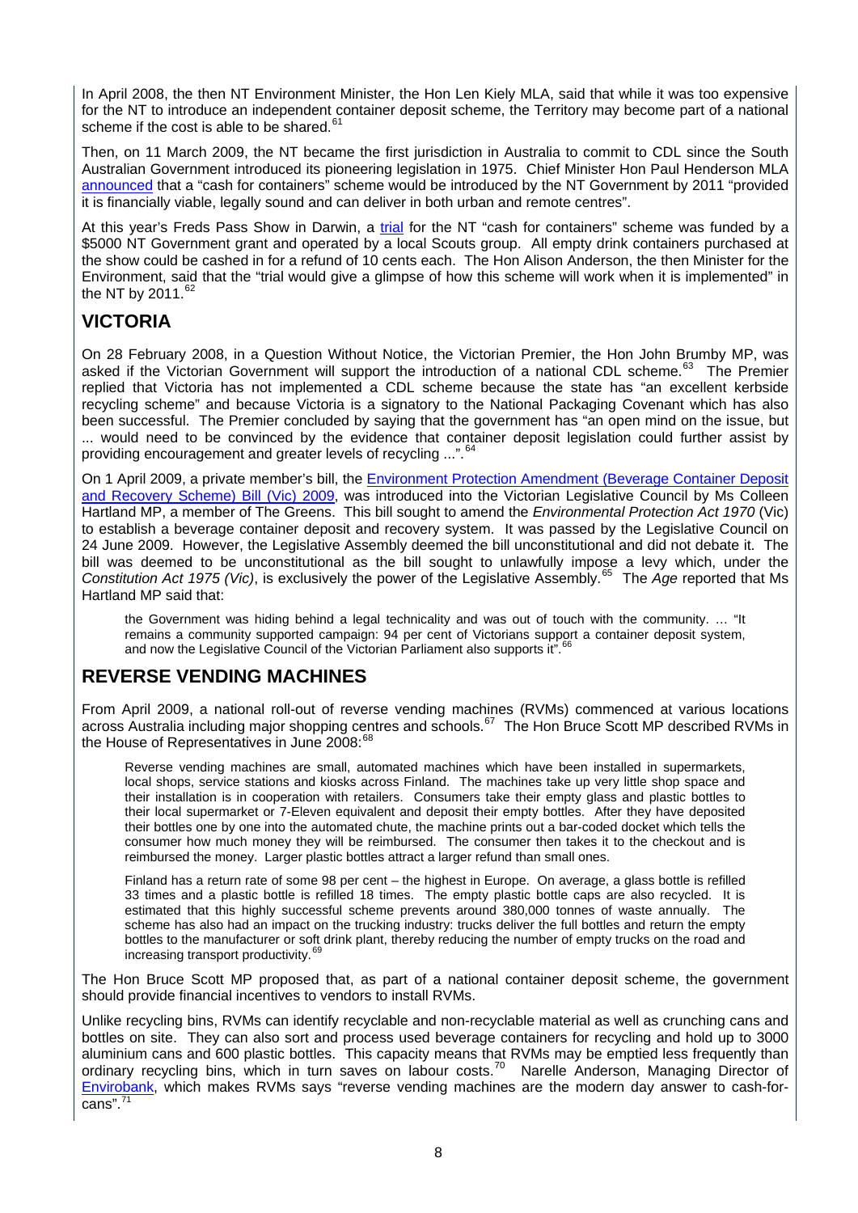In April 2008, the then NT Environment Minister, the Hon Len Kiely MLA, said that while it was too expensive for the NT to introduce an independent container deposit scheme, the Territory may become part of a national scheme if the cost is able to be shared. $61$ 

Then, on 11 March 2009, the NT became the first jurisdiction in Australia to commit to CDL since the South Australian Government introduced its pioneering legislation in 1975. Chief Minister Hon Paul Henderson MLA [announced](http://newsroom.nt.gov.au/index.cfm?fuseaction=viewRelease&id=5229&d=5) that a "cash for containers" scheme would be introduced by the NT Government by 2011 "provided it is financially viable, legally sound and can deliver in both urban and remote centres".

At this vear's Freds Pass Show in Darwin, a [trial](http://newsroom.nt.gov.au/adminmedia/mailouts/5569/attachments/Freds%20Pass%20Cash%20for%20Containers.pdf) for the NT "cash for containers" scheme was funded by a \$5000 NT Government grant and operated by a local Scouts group. All empty drink containers purchased at the show could be cashed in for a refund of 10 cents each. The Hon Alison Anderson, the then Minister for the Environment, said that the "trial would give a glimpse of how this scheme will work when it is implemented" in the NT by  $2011$ .<sup>[62](#page-24-9)</sup>

## <span id="page-11-0"></span>**VICTORIA**

On 28 February 2008, in a Question Without Notice, the Victorian Premier, the Hon John Brumby MP, was asked if the Victorian Government will support the introduction of a national CDL scheme.<sup>[63](#page-24-10)</sup> The Premier replied that Victoria has not implemented a CDL scheme because the state has "an excellent kerbside recycling scheme" and because Victoria is a signatory to the National Packaging Covenant which has also been successful. The Premier concluded by saying that the government has "an open mind on the issue, but ... would need to be convinced by the evidence that container deposit legislation could further assist by providing encouragement and greater levels of recycling ...".

On 1 April 2009, a private member's bill, the Environment Protection Amendment (Beverage Container Deposit [and Recovery Scheme\) Bill \(Vic\) 2009](http://www.austlii.edu.au/au/legis/vic/bill/epacdarsb2009768/), was introduced into the Victorian Legislative Council by Ms Colleen Hartland MP, a member of The Greens. This bill sought to amend the *Environmental Protection Act 1970* (Vic) to establish a beverage container deposit and recovery system. It was passed by the Legislative Council on 24 June 2009. However, the Legislative Assembly deemed the bill unconstitutional and did not debate it. The bill was deemed to be unconstitutional as the bill sought to unlawfully impose a levy which, under the *Constitution Act 1975 (Vic)*, is exclusively the power of the Legislative Assembly.[65](#page-24-12) The *Age* reported that Ms Hartland MP said that:

the Government was hiding behind a legal technicality and was out of touch with the community. … "It remains a community supported campaign: 94 per cent of Victorians support a container deposit system, and now the Legislative Council of the Victorian Parliament also supports it".

## <span id="page-11-1"></span>**REVERSE VENDING MACHINES**

From April 2009, a national roll-out of reverse vending machines (RVMs) commenced at various locations across Australia including major shopping centres and schools.<sup>[67](#page-24-14)</sup> The Hon Bruce Scott MP described RVMs in the House of Representatives in June 2008:<sup>[68](#page-24-15)</sup>

Reverse vending machines are small, automated machines which have been installed in supermarkets, local shops, service stations and kiosks across Finland. The machines take up very little shop space and their installation is in cooperation with retailers. Consumers take their empty glass and plastic bottles to their local supermarket or 7-Eleven equivalent and deposit their empty bottles. After they have deposited their bottles one by one into the automated chute, the machine prints out a bar-coded docket which tells the consumer how much money they will be reimbursed. The consumer then takes it to the checkout and is reimbursed the money. Larger plastic bottles attract a larger refund than small ones.

Finland has a return rate of some 98 per cent – the highest in Europe. On average, a glass bottle is refilled 33 times and a plastic bottle is refilled 18 times. The empty plastic bottle caps are also recycled. It is estimated that this highly successful scheme prevents around 380,000 tonnes of waste annually. The scheme has also had an impact on the trucking industry: trucks deliver the full bottles and return the empty bottles to the manufacturer or soft drink plant, thereby reducing the number of empty trucks on the road and increasing transport productivity.<sup>[69](#page-24-16)</sup>

The Hon Bruce Scott MP proposed that, as part of a national container deposit scheme, the government should provide financial incentives to vendors to install RVMs.

Unlike recycling bins, RVMs can identify recyclable and non-recyclable material as well as crunching cans and bottles on site. They can also sort and process used beverage containers for recycling and hold up to 3000 aluminium cans and 600 plastic bottles. This capacity means that RVMs may be emptied less frequently than ordinary recycling bins, which in turn saves on labour costs.<sup>[70](#page-24-17)</sup> Narelle Anderson, Managing Director of [Envirobank,](https://www.envirobank.com.au/about-us) which makes RVMs says "reverse vending machines are the modern day answer to cash-for $cans"$ .<sup>[71](#page-24-18)</sup>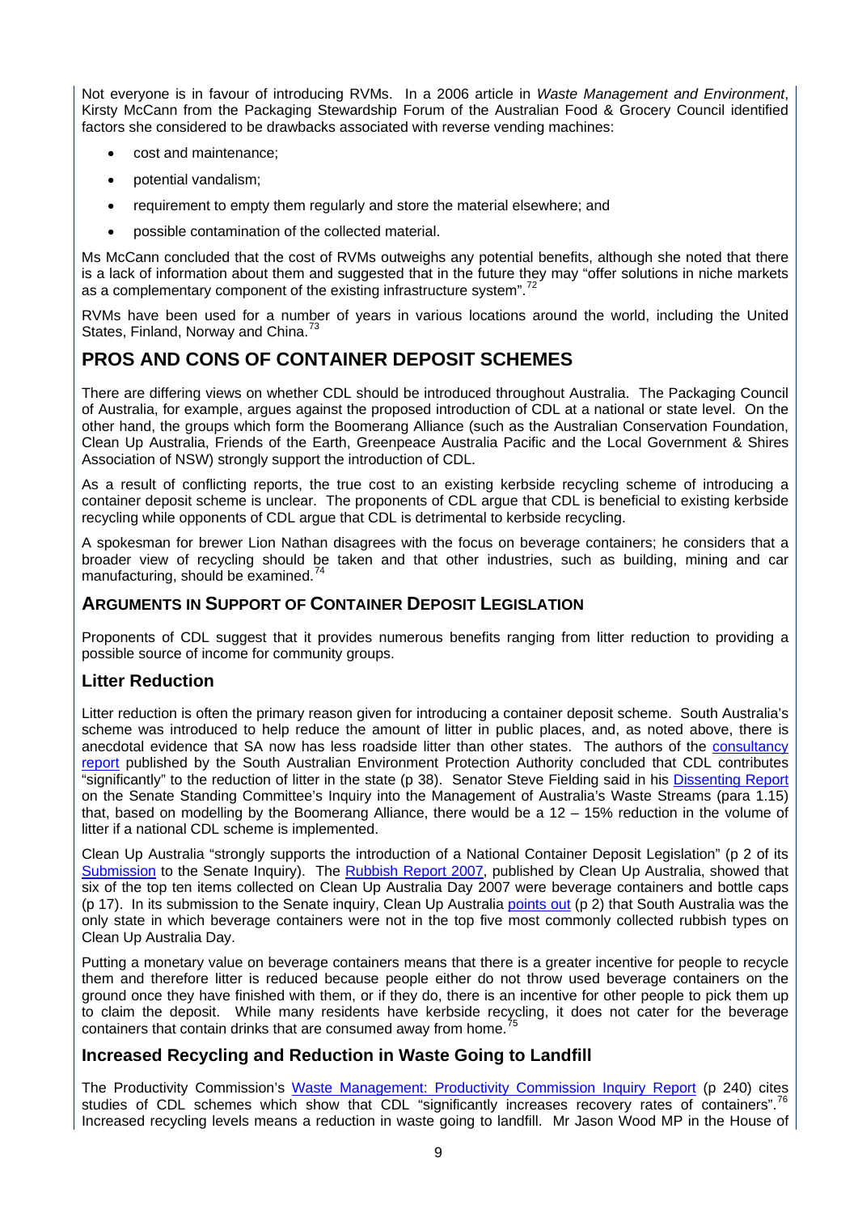Not everyone is in favour of introducing RVMs. In a 2006 article in *Waste Management and Environment*, Kirsty McCann from the Packaging Stewardship Forum of the Australian Food & Grocery Council identified factors she considered to be drawbacks associated with reverse vending machines:

- cost and maintenance;
- potential vandalism;
- requirement to empty them regularly and store the material elsewhere; and
- possible contamination of the collected material.

Ms McCann concluded that the cost of RVMs outweighs any potential benefits, although she noted that there is a lack of information about them and suggested that in the future they may "offer solutions in niche markets as a complementary component of the existing infrastructure system".<sup>[72](#page-24-19)</sup>

RVMs have been used for a number of years in various locations around the world, including the United States, Finland, Norway and China.

## <span id="page-12-0"></span>**PROS AND CONS OF CONTAINER DEPOSIT SCHEMES**

There are differing views on whether CDL should be introduced throughout Australia. The Packaging Council of Australia, for example, argues against the proposed introduction of CDL at a national or state level. On the other hand, the groups which form the Boomerang Alliance (such as the Australian Conservation Foundation, Clean Up Australia, Friends of the Earth, Greenpeace Australia Pacific and the Local Government & Shires Association of NSW) strongly support the introduction of CDL.

As a result of conflicting reports, the true cost to an existing kerbside recycling scheme of introducing a container deposit scheme is unclear. The proponents of CDL argue that CDL is beneficial to existing kerbside recycling while opponents of CDL argue that CDL is detrimental to kerbside recycling.

A spokesman for brewer Lion Nathan disagrees with the focus on beverage containers; he considers that a broader view of recycling should be taken and that other industries, such as building, mining and car manufacturing, should be examined.<sup>7</sup>

#### <span id="page-12-1"></span>**ARGUMENTS IN SUPPORT OF CONTAINER DEPOSIT LEGISLATION**

Proponents of CDL suggest that it provides numerous benefits ranging from litter reduction to providing a possible source of income for community groups.

#### <span id="page-12-2"></span>**Litter Reduction**

Litter reduction is often the primary reason given for introducing a container deposit scheme. South Australia's scheme was introduced to help reduce the amount of litter in public places, and, as noted above, there is anecdotal evidence that SA now has less roadside litter than other states. The authors of the **consultancy** [report](http://www.epa.sa.gov.au/pdfs/cdl_report.pdf) published by the South Australian Environment Protection Authority concluded that CDL contributes "significantly" to the reduction of litter in the state (p 38). Senator Steve Fielding said in his [Dissenting Report](http://www.aph.gov.au/Senate/committee/eca_ctte/aust_waste_streams/report/d01.htm) on the Senate Standing Committee's Inquiry into the Management of Australia's Waste Streams (para 1.15) that, based on modelling by the Boomerang Alliance, there would be a 12 – 15% reduction in the volume of litter if a national CDL scheme is implemented.

Clean Up Australia "strongly supports the introduction of a National Container Deposit Legislation" (p 2 of its [Submission](http://www.aph.gov.au/SENATE/committee/eca_ctte/aust_waste_streams/submissions/sub055.pdf) to the Senate Inquiry). The [Rubbish Report 2007,](http://www.cleanuptheworld.org/PDF/au/rubbishreport_final.pdf) published by Clean Up Australia, showed that six of the top ten items collected on Clean Up Australia Day 2007 were beverage containers and bottle caps (p 17). In its submission to the Senate inquiry, Clean Up Australia [points out](http://www.aph.gov.au/SENATE/committee/eca_ctte/aust_waste_streams/submissions/sub055.pdf) (p 2) that South Australia was the only state in which beverage containers were not in the top five most commonly collected rubbish types on Clean Up Australia Day.

Putting a monetary value on beverage containers means that there is a greater incentive for people to recycle them and therefore litter is reduced because people either do not throw used beverage containers on the ground once they have finished with them, or if they do, there is an incentive for other people to pick them up to claim the deposit. While many residents have kerbside recycling, it does not cater for the beverage containers that contain drinks that are consumed away from home.<sup>7</sup>

#### <span id="page-12-3"></span>**Increased Recycling and Reduction in Waste Going to Landfill**

The Productivity Commission's [Waste Management: Productivity Commission Inquiry Report](http://www.pc.gov.au/__data/assets/pdf_file/0014/21614/waste.pdf) (p 240) cites studies of CDL schemes which show that CDL "significantly increases recovery rates of containers".<sup>[76](#page-25-2)</sup> Increased recycling levels means a reduction in waste going to landfill. Mr Jason Wood MP in the House of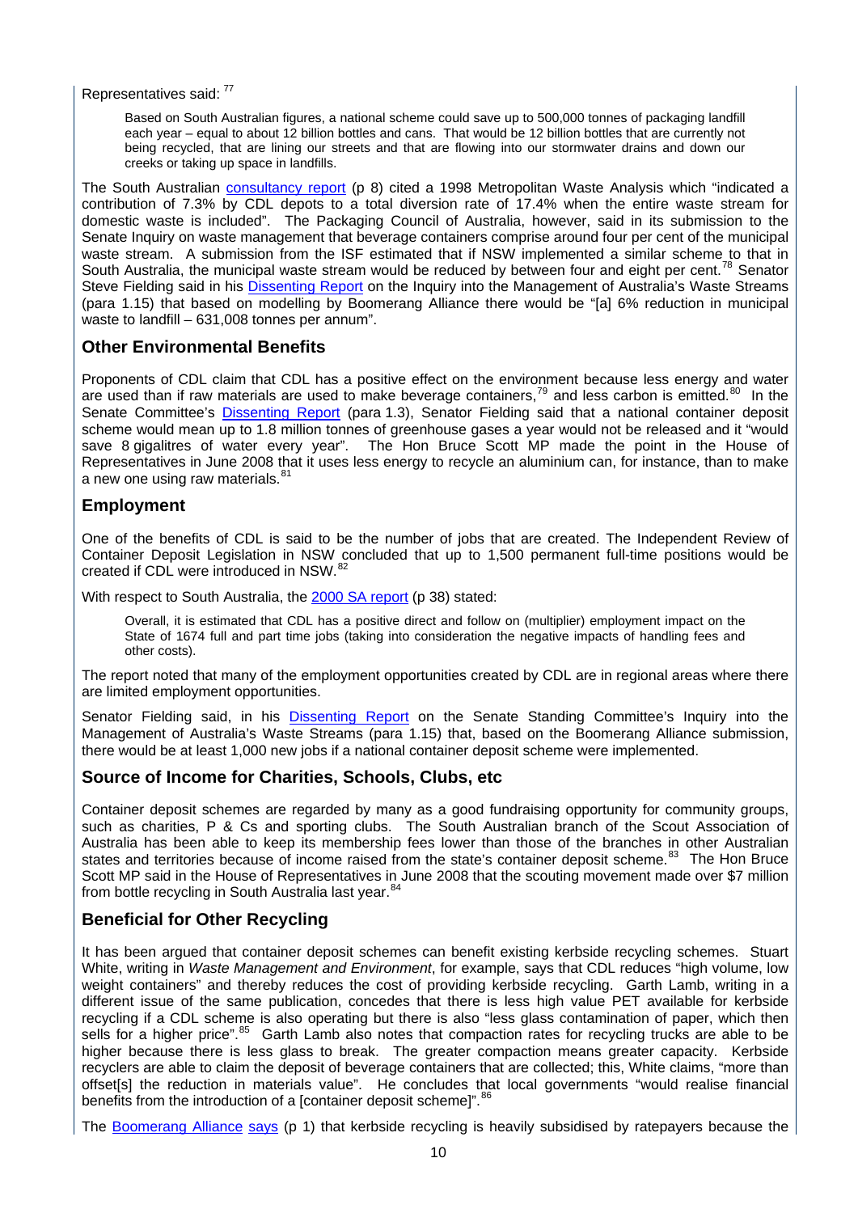Representatives said: [77](#page-25-3)

Based on South Australian figures, a national scheme could save up to 500,000 tonnes of packaging landfill each year – equal to about 12 billion bottles and cans. That would be 12 billion bottles that are currently not being recycled, that are lining our streets and that are flowing into our stormwater drains and down our creeks or taking up space in landfills.

The South Australian **[consultancy report](http://www.epa.sa.gov.au/pdfs/cdl_report.pdf)** (p 8) cited a 1998 Metropolitan Waste Analysis which "indicated a contribution of 7.3% by CDL depots to a total diversion rate of 17.4% when the entire waste stream for domestic waste is included". The Packaging Council of Australia, however, said in its submission to the Senate Inquiry on waste management that beverage containers comprise around four per cent of the municipal waste stream. A submission from the ISF estimated that if NSW implemented a similar scheme to that in South Australia, the municipal waste stream would be reduced by between four and eight per cent.<sup>[78](#page-25-4)</sup> Senator Steve Fielding said in his [Dissenting Report](http://www.aph.gov.au/Senate/committee/eca_ctte/aust_waste_streams/report/d01.htm) on the Inquiry into the Management of Australia's Waste Streams (para 1.15) that based on modelling by Boomerang Alliance there would be "[a] 6% reduction in municipal waste to landfill – 631,008 tonnes per annum".

#### <span id="page-13-0"></span>**Other Environmental Benefits**

Proponents of CDL claim that CDL has a positive effect on the environment because less energy and water are used than if raw materials are used to make beverage containers,<sup>[79](#page-25-5)</sup> and less carbon is emitted.<sup>[80](#page-25-6)</sup> In the Senate Committee's [Dissenting Report](http://www.aph.gov.au/Senate/committee/eca_ctte/aust_waste_streams/report/d01.htm) (para 1.3), Senator Fielding said that a national container deposit scheme would mean up to 1.8 million tonnes of greenhouse gases a year would not be released and it "would save 8 gigalitres of water every year". The Hon Bruce Scott MP made the point in the House of Representatives in June 2008 that it uses less energy to recycle an aluminium can, for instance, than to make a new one using raw materials.<sup>8</sup>

#### <span id="page-13-1"></span>**Employment**

One of the benefits of CDL is said to be the number of jobs that are created. The Independent Review of Container Deposit Legislation in NSW concluded that up to 1,500 permanent full-time positions would be created if CDL were introduced in NSW.<sup>[82](#page-25-8)</sup>

With respect to South Australia, the [2000 SA report](http://www.epa.sa.gov.au/pdfs/cdl_report.pdf) (p 38) stated:

Overall, it is estimated that CDL has a positive direct and follow on (multiplier) employment impact on the State of 1674 full and part time jobs (taking into consideration the negative impacts of handling fees and other costs).

The report noted that many of the employment opportunities created by CDL are in regional areas where there are limited employment opportunities.

Senator Fielding said, in his [Dissenting Report](http://www.aph.gov.au/Senate/committee/eca_ctte/aust_waste_streams/report/d01.htm) on the Senate Standing Committee's Inquiry into the Management of Australia's Waste Streams (para 1.15) that, based on the Boomerang Alliance submission, there would be at least 1,000 new jobs if a national container deposit scheme were implemented.

#### <span id="page-13-2"></span>**Source of Income for Charities, Schools, Clubs, etc**

Container deposit schemes are regarded by many as a good fundraising opportunity for community groups, such as charities, P & Cs and sporting clubs. The South Australian branch of the Scout Association of Australia has been able to keep its membership fees lower than those of the branches in other Australian states and territories because of income raised from the state's container deposit scheme.<sup>[83](#page-25-9)</sup> The Hon Bruce Scott MP said in the House of Representatives in June 2008 that the scouting movement made over \$7 million from bottle recycling in South Australia last year.<sup>[84](#page-25-10)</sup>

#### <span id="page-13-3"></span>**Beneficial for Other Recycling**

It has been argued that container deposit schemes can benefit existing kerbside recycling schemes. Stuart White, writing in *Waste Management and Environment*, for example, says that CDL reduces "high volume, low weight containers" and thereby reduces the cost of providing kerbside recycling. Garth Lamb, writing in a different issue of the same publication, concedes that there is less high value PET available for kerbside recycling if a CDL scheme is also operating but there is also "less glass contamination of paper, which then sells for a higher price".<sup>[85](#page-25-11)</sup> Garth Lamb also notes that compaction rates for recycling trucks are able to be higher because there is less glass to break. The greater compaction means greater capacity. Kerbside recyclers are able to claim the deposit of beverage containers that are collected; this, White claims, "more than offset[s] the reduction in materials value". He concludes that local governments "would realise financial benefits from the introduction of a [container deposit scheme]". <sup>[86](#page-25-12)</sup>

The [Boomerang Alliance](http://www.bringitback.org.au/boomerang/) [says](http://www.boomerangalliance.org/000_files/25_CDL_and_kerbside.pdf) (p 1) that kerbside recycling is heavily subsidised by ratepayers because the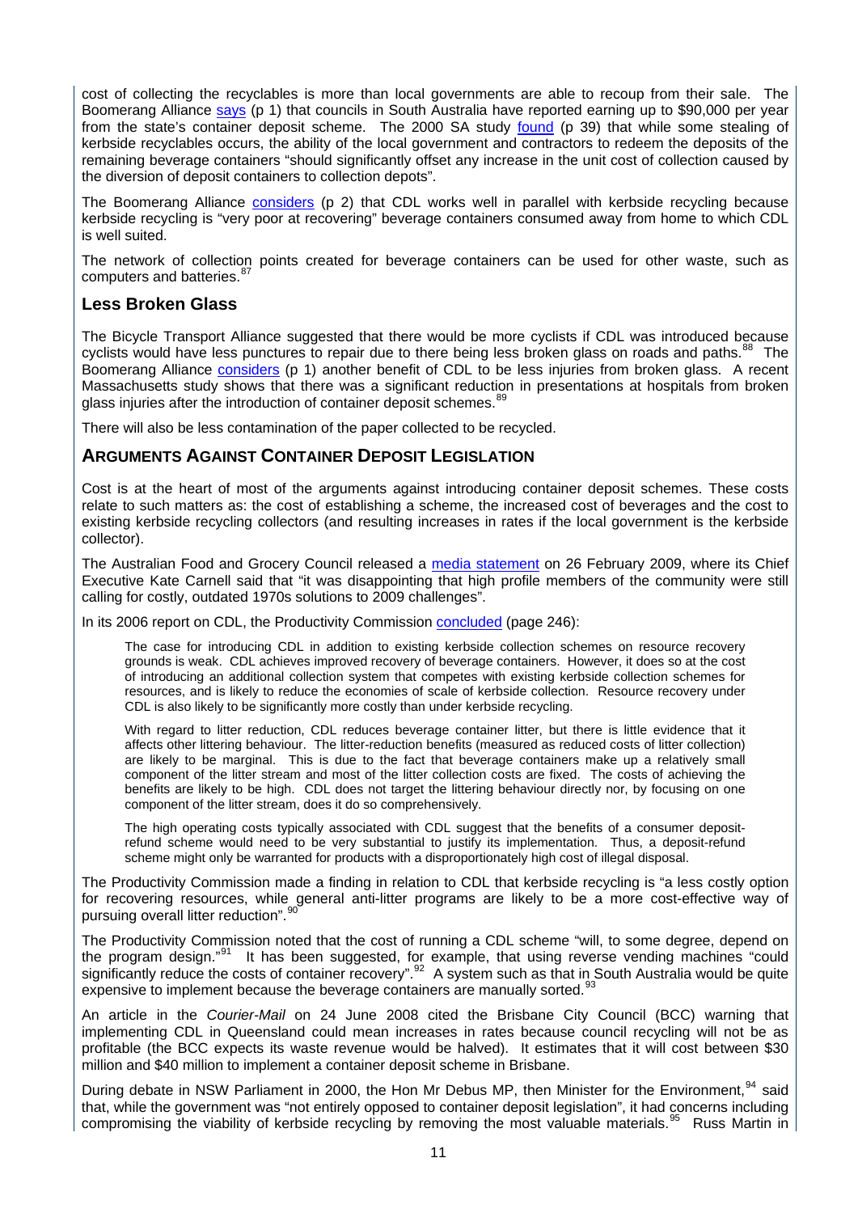cost of collecting the recyclables is more than local governments are able to recoup from their sale. The Boomerang Alliance [says](http://www.boomerangalliance.org/000_files/25_CDL_and_kerbside.pdf) (p 1) that councils in South Australia have reported earning up to \$90,000 per year from the state's container deposit scheme. The 2000 SA study [found](http://www.epa.sa.gov.au/pdfs/cdl_report.pdf) (p 39) that while some stealing of kerbside recyclables occurs, the ability of the local government and contractors to redeem the deposits of the remaining beverage containers "should significantly offset any increase in the unit cost of collection caused by the diversion of deposit containers to collection depots".

The Boomerang Alliance [considers](http://www.boomerangalliance.org/000_files/25_CDL_and_kerbside.pdf) (p 2) that CDL works well in parallel with kerbside recycling because kerbside recycling is "very poor at recovering" beverage containers consumed away from home to which CDL is well suited.

The network of collection points created for beverage containers can be used for other waste, such as computers and batteries.<sup>8</sup>

#### <span id="page-14-0"></span>**Less Broken Glass**

The Bicycle Transport Alliance suggested that there would be more cyclists if CDL was introduced because cyclists would have less punctures to repair due to there being less broken glass on roads and paths.<sup>[88](#page-25-14)</sup> The Boomerang Alliance [considers](http://www.boomerangalliance.org/000_files/25_CDL_and_kerbside.pdf) (p 1) another benefit of CDL to be less injuries from broken glass. A recent Massachusetts study shows that there was a significant reduction in presentations at hospitals from broken glass injuries after the introduction of container deposit schemes.<sup>[89](#page-25-15)</sup>

There will also be less contamination of the paper collected to be recycled.

#### <span id="page-14-1"></span>**ARGUMENTS AGAINST CONTAINER DEPOSIT LEGISLATION**

Cost is at the heart of most of the arguments against introducing container deposit schemes. These costs relate to such matters as: the cost of establishing a scheme, the increased cost of beverages and the cost to existing kerbside recycling collectors (and resulting increases in rates if the local government is the kerbside collector).

The Australian Food and Grocery Council released a [media statement](http://www.afgc.org.au/index.cfm?id=795) on 26 February 2009, where its Chief Executive Kate Carnell said that "it was disappointing that high profile members of the community were still calling for costly, outdated 1970s solutions to 2009 challenges".

In its 2006 report on CDL, the Productivity Commission [concluded](http://www.pc.gov.au/__data/assets/pdf_file/0014/21614/waste.pdf) (page 246):

The case for introducing CDL in addition to existing kerbside collection schemes on resource recovery grounds is weak. CDL achieves improved recovery of beverage containers. However, it does so at the cost of introducing an additional collection system that competes with existing kerbside collection schemes for resources, and is likely to reduce the economies of scale of kerbside collection. Resource recovery under CDL is also likely to be significantly more costly than under kerbside recycling.

With regard to litter reduction, CDL reduces beverage container litter, but there is little evidence that it affects other littering behaviour. The litter-reduction benefits (measured as reduced costs of litter collection) are likely to be marginal. This is due to the fact that beverage containers make up a relatively small component of the litter stream and most of the litter collection costs are fixed. The costs of achieving the benefits are likely to be high. CDL does not target the littering behaviour directly nor, by focusing on one component of the litter stream, does it do so comprehensively.

The high operating costs typically associated with CDL suggest that the benefits of a consumer depositrefund scheme would need to be very substantial to justify its implementation. Thus, a deposit-refund scheme might only be warranted for products with a disproportionately high cost of illegal disposal.

The Productivity Commission made a finding in relation to CDL that kerbside recycling is "a less costly option for recovering resources, while general anti-litter programs are likely to be a more cost-effective way of pursuing overall litter reduction".

The Productivity Commission noted that the cost of running a CDL scheme "will, to some degree, depend on the program design."<sup>[91](#page-25-17)</sup> It has been suggested, for example, that using reverse vending machines "could significantly reduce the costs of container recovery".<sup>[92](#page-25-18)</sup> A system such as that in South Australia would be quite expensive to implement because the beverage containers are manually sorted.<sup>[93](#page-25-19)</sup>

An article in the *Courier-Mail* on 24 June 2008 cited the Brisbane City Council (BCC) warning that implementing CDL in Queensland could mean increases in rates because council recycling will not be as profitable (the BCC expects its waste revenue would be halved). It estimates that it will cost between \$30 million and \$40 million to implement a container deposit scheme in Brisbane.

During debate in NSW Parliament in 2000, the Hon Mr Debus MP, then Minister for the Environment,<sup>[94](#page-25-20)</sup> said that, while the government was "not entirely opposed to container deposit legislation", it had concerns including compromising the viability of kerbside recycling by removing the most valuable materials.<sup>[95](#page-25-21)</sup> Russ Martin in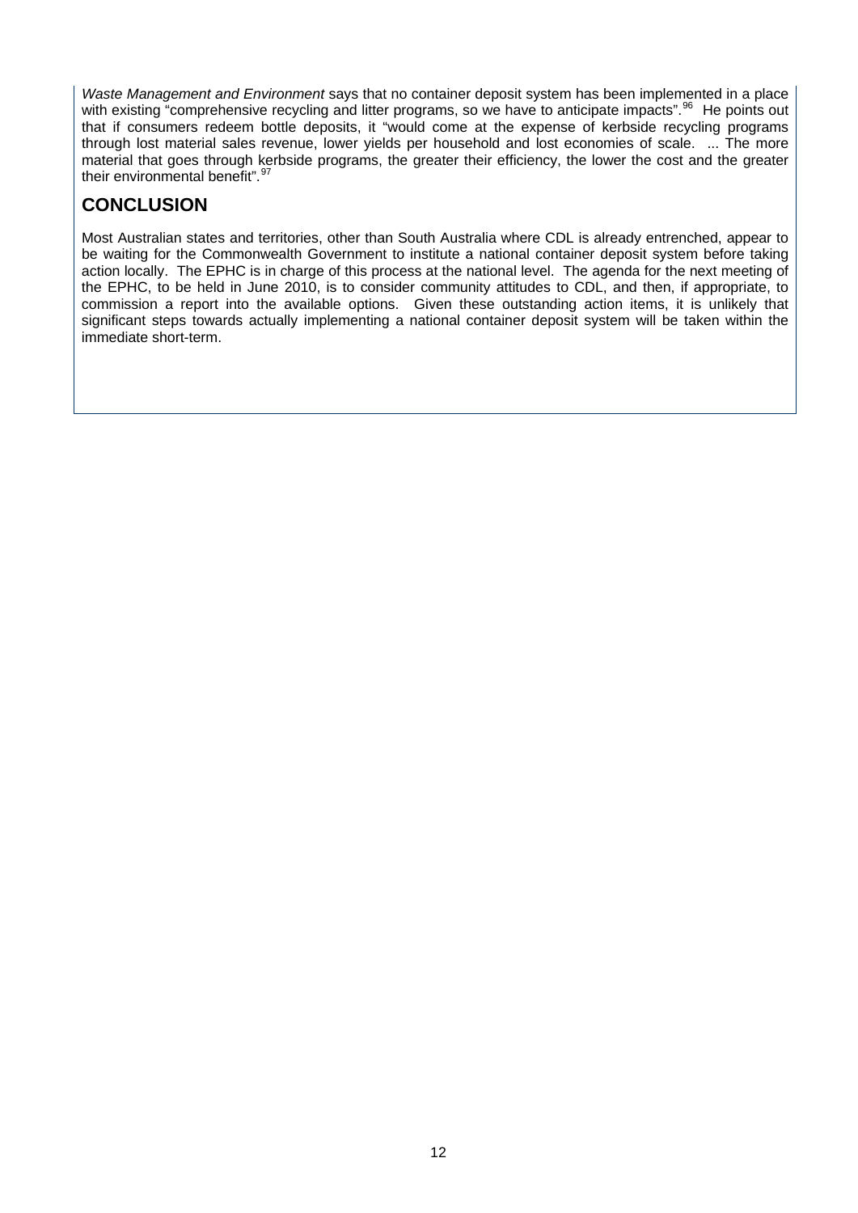*Waste Management and Environment* says that no container deposit system has been implemented in a place with existing "comprehensive recycling and litter programs, so we have to anticipate impacts".<sup>[96](#page-25-22)</sup> He points out that if consumers redeem bottle deposits, it "would come at the expense of kerbside recycling programs through lost material sales revenue, lower yields per household and lost economies of scale. ... The more material that goes through kerbside programs, the greater their efficiency, the lower the cost and the greater their environmental benefit".<sup>[97](#page-25-23)</sup>

## <span id="page-15-0"></span>**CONCLUSION**

Most Australian states and territories, other than South Australia where CDL is already entrenched, appear to be waiting for the Commonwealth Government to institute a national container deposit system before taking action locally. The EPHC is in charge of this process at the national level. The agenda for the next meeting of the EPHC, to be held in June 2010, is to consider community attitudes to CDL, and then, if appropriate, to commission a report into the available options. Given these outstanding action items, it is unlikely that significant steps towards actually implementing a national container deposit system will be taken within the immediate short-term.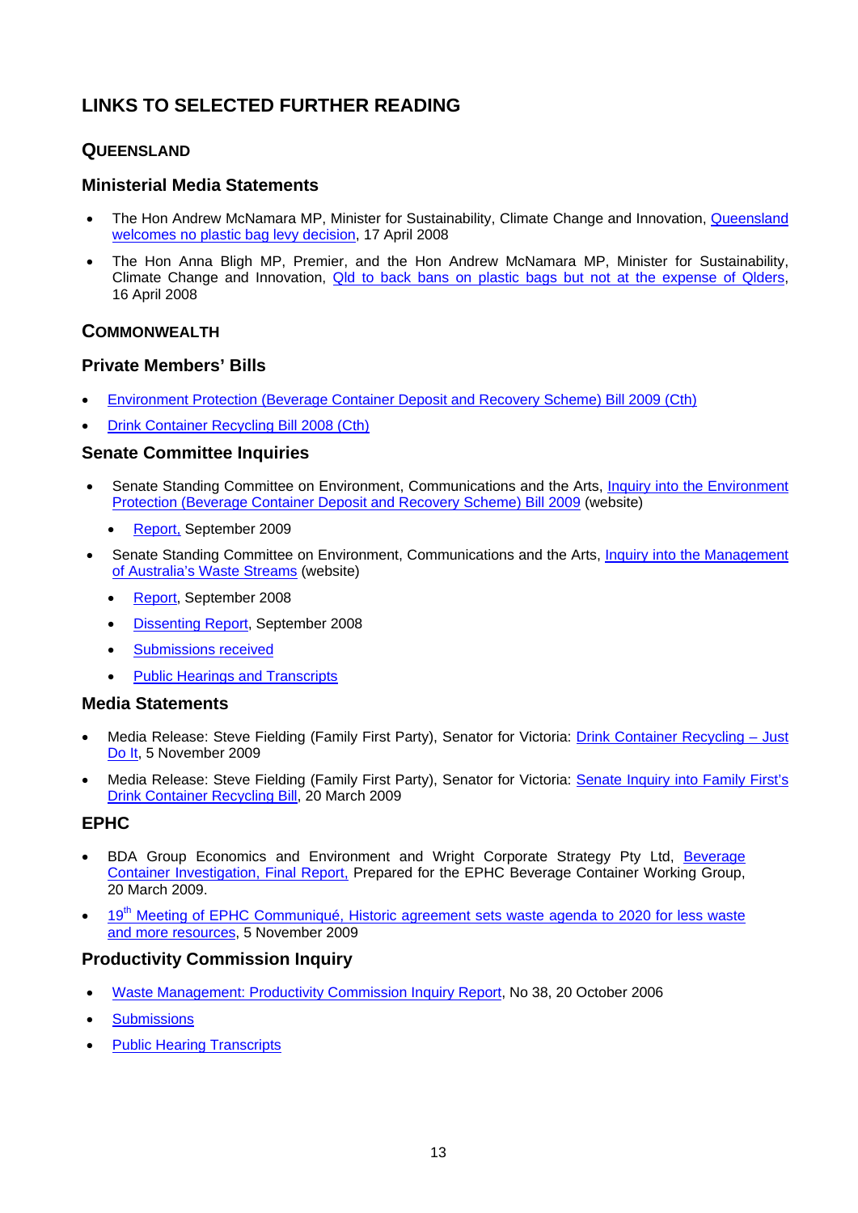## <span id="page-16-0"></span>**LINKS TO SELECTED FURTHER READING**

#### <span id="page-16-1"></span>**QUEENSLAND**

#### <span id="page-16-2"></span>**Ministerial Media Statements**

- The Hon Andrew McNamara MP, Minister for Sustainability, Climate Change and Innovation, Queensland [welcomes no plastic bag levy decision,](http://www.cabinet.qld.gov.au/MMS/StatementDisplaySingle.aspx?id=57639) 17 April 2008
- The Hon Anna Bligh MP, Premier, and the Hon Andrew McNamara MP, Minister for Sustainability, Climate Change and Innovation. Old to back bans on plastic bags but not at the expense of Qlders, 16 April 2008

#### <span id="page-16-3"></span>**COMMONWEALTH**

#### <span id="page-16-4"></span>**Private Members' Bills**

- Environment Protection (Beverage Container [Deposit and Recovery Scheme\) Bill 2009 \(Cth\)](http://www.comlaw.gov.au/comlaw/Legislation/Bills1.nsf/0/7517F0C8FBD8AB72CA2575B7000EC7FD?OpenDocument)
- [Drink Container Recycling Bill 2008 \(Cth\)](http://www.comlaw.gov.au/comlaw/legislation/bills1.nsf/0/0EBCA0B94BF37405CA25740B0017A41D/$file/08051.pdf)

#### <span id="page-16-5"></span>**Senate Committee Inquiries**

- Senate Standing Committee on Environment, Communications and the Arts, Inquiry into the Environment [Protection \(Beverage Container Deposit and Recovery Scheme\) Bill 2009](http://www.aph.gov.au/Senate/committee/eca_ctte/environment_protect_09/index.htm) (website)
	- [Report,](http://www.aph.gov.au/Senate/committee/eca_ctte/environment_protect_09/report/index.htm) September 2009
- Senate Standing Committee on Environment, Communications and the Arts, Inquiry into the Management [of Australia's Waste Streams](http://www.aph.gov.au/Senate/committee/eca_ctte/aust_waste_streams/index.htm) (website)
	- [Report,](http://www.aph.gov.au/Senate/committee/eca_ctte/aust_waste_streams/report/index.htm) September 2008
	- [Dissenting Report](http://www.aph.gov.au/Senate/committee/eca_ctte/aust_waste_streams/report/d01.htm), September 2008
	- Submissions received
	- [Public Hearings and Transcripts](http://www.aph.gov.au/Senate/committee/eca_ctte/aust_waste_streams/hearings/index.htm)

#### <span id="page-16-6"></span>**Media Statements**

- Media Release: Steve Fielding (Family First Party), Senator for Victoria: [Drink Container Recycling Just](http://www.stevefielding.com.au/news/details/drink_container_recycling_-_just_do_it/)  [Do It,](http://www.stevefielding.com.au/news/details/drink_container_recycling_-_just_do_it/) 5 November 2009
- Media Release: Steve Fielding (Family First Party), Senator for Victoria: [Senate Inquiry into Family First's](http://www.stevefielding.com.au/news/details/senate_inquiry_into_family_firsts_drink_container_recycling_bill/)  [Drink Container Recycling Bill](http://www.stevefielding.com.au/news/details/senate_inquiry_into_family_firsts_drink_container_recycling_bill/), 20 March 2009

#### <span id="page-16-7"></span>**EPHC**

- BDA Group Economics and Environment and Wright Corporate Strategy Pty Ltd, [Beverage](http://www.ephc.gov.au/taxonomy/term/53)  [Container Investigation, Final Report,](http://www.ephc.gov.au/taxonomy/term/53) Prepared for the EPHC Beverage Container Working Group, 20 March 2009.
- [19](http://www.ephc.gov.au/sites/default/files/EPHC_Cmq__Communique_2009_11_05.pdf)<sup>th</sup> Meeting of EPHC Communiqué, Historic agreement sets waste agenda to 2020 for less waste [and more resources,](http://www.ephc.gov.au/sites/default/files/EPHC_Cmq__Communique_2009_11_05.pdf) 5 November 2009

#### <span id="page-16-8"></span>**Productivity Commission Inquiry**

- [Waste Management: Productivity Commission Inquiry Report](http://www.pc.gov.au/projects/inquiry/waste/docs/finalreport), No 38, 20 October 2006
- **Submissions**
- [Public Hearing Transcripts](http://www.pc.gov.au/projects/inquiry/waste/docs/transcripts)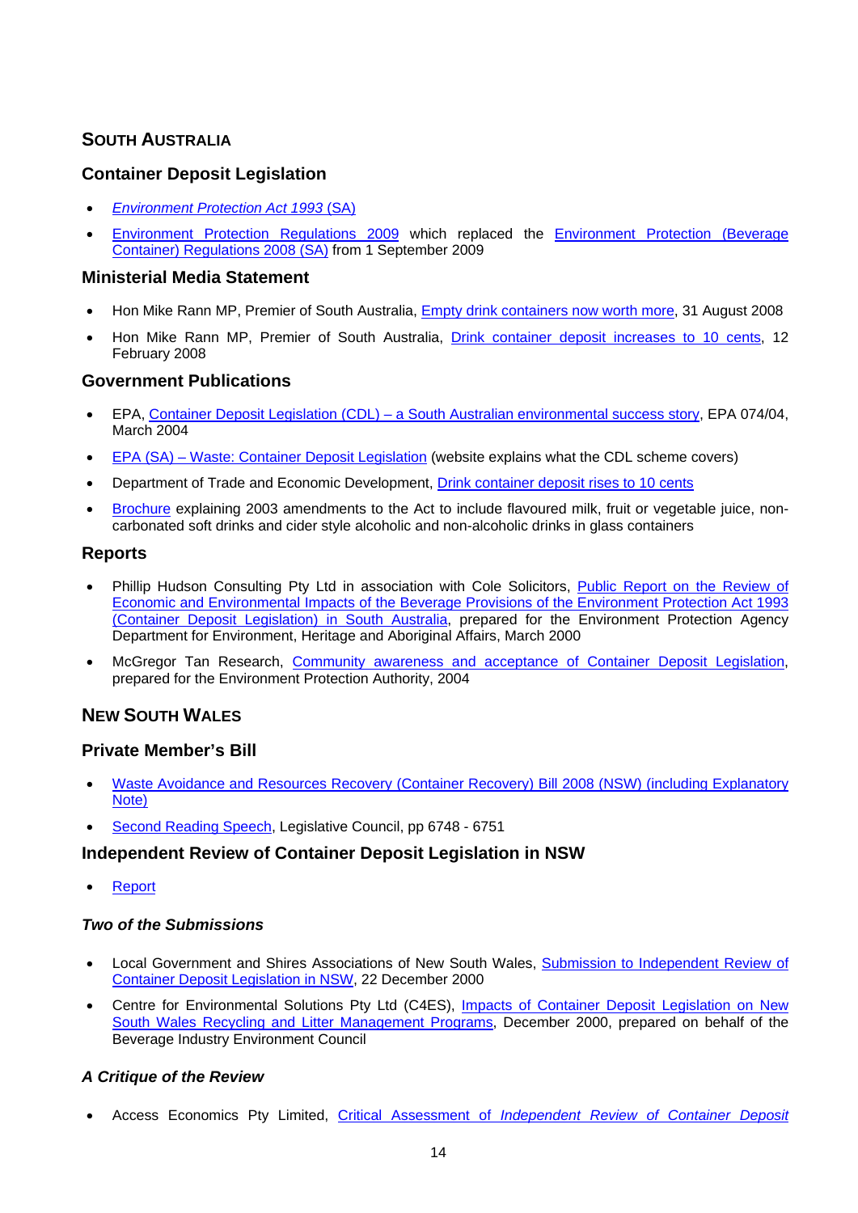## **SOUTH AUSTRALIA**

#### <span id="page-17-1"></span>**Container Deposit Legislation**

- *[Environment Protection Act 1993](http://www.legislation.sa.gov.au/LZ/C/A/Environment%20Protection%20Act%201993.aspx)* (SA)
- [Environment Protection Regulations 2009](http://www.legislation.sa.gov.au/LZ/C/R/Environment%20Protection%20Regulations%202009.aspx) which replaced the [Environment Protection \(Beverage](http://www.legislation.sa.gov.au/LZ/C/R/Environment%20Protection%20(Beverage%20Container)%20Regulations%202008.aspx)  [Container\) Regulations 2008 \(SA\)](http://www.legislation.sa.gov.au/LZ/C/R/Environment%20Protection%20(Beverage%20Container)%20Regulations%202008.aspx) from 1 September 2009

#### <span id="page-17-2"></span>**Ministerial Media Statement**

- Hon Mike Rann MP, Premier of South Australia, [Empty drink containers now worth more](http://www.ministers.sa.gov.au/news.php?id=3619), 31 August 2008
- Hon Mike Rann MP, Premier of South Australia, *[Drink container deposit increases to 10 cents](http://www.ministers.sa.gov.au/news.php?id=2757)*, 12 February 2008

#### <span id="page-17-3"></span>**Government Publications**

- EPA, [Container Deposit Legislation \(CDL\) a South Australian environmental success story,](http://www.epa.sa.gov.au/pdfs/info_cdl.pdf) EPA 074/04, March 2004
- [EPA \(SA\) Waste: Container Deposit Legislation](http://www.epa.sa.gov.au/environmental_info/waste/container_deposit_legislation) (website explains what the CDL scheme covers)
- Department of Trade and Economic Development, [Drink container deposit rises to 10 cents](http://www.southaustralia.biz/Article/NewsDetail.aspx?id=174)
- [Brochure](http://www.epa.sa.gov.au/pdfs/cdl_brochure.pdf) explaining 2003 amendments to the Act to include flavoured milk, fruit or vegetable juice, noncarbonated soft drinks and cider style alcoholic and non-alcoholic drinks in glass containers

#### <span id="page-17-4"></span>**Reports**

- Phillip Hudson Consulting Pty Ltd in association with Cole Solicitors, [Public Report on the Review of](http://www.epa.sa.gov.au/pdfs/cdl_report.pdf)  [Economic and Environmental Impacts of the Beverage Provisions of the Environment Protection Act 1993](http://www.epa.sa.gov.au/pdfs/cdl_report.pdf)  [\(Container Deposit Legislation\) in South Australia,](http://www.epa.sa.gov.au/pdfs/cdl_report.pdf) prepared for the Environment Protection Agency Department for Environment, Heritage and Aboriginal Affairs, March 2000
- McGregor Tan Research, [Community awareness and acceptance of Container Deposit Legislation,](http://www.epa.sa.gov.au/pdfs/cdl_survey.pdf) prepared for the Environment Protection Authority, 2004

#### <span id="page-17-5"></span>**NEW SOUTH WALES**

#### <span id="page-17-6"></span>**Private Member's Bill**

- [Waste Avoidance and Resources Recovery \(Container](http://www.parliament.nsw.gov.au/prod/parlment/NSWBills.nsf/d2117e6bba4ab3ebca256e68000a0ae2/bf517113ea29b646ca2572d6007cfe94!OpenDocument) Recovery) Bill 2008 (NSW) (including Explanatory [Note\)](http://www.parliament.nsw.gov.au/prod/parlment/NSWBills.nsf/d2117e6bba4ab3ebca256e68000a0ae2/bf517113ea29b646ca2572d6007cfe94!OpenDocument)
- [Second Reading Speech,](http://www.parliament.nsw.gov.au/prod/parlment/hansart.nsf/8bd91bc90780f150ca256e630010302c/500c916a7a98c16dca25742f001dd35a!OpenDocument) Legislative Council, pp 6748 6751

#### <span id="page-17-7"></span>**Independent Review of Container Deposit Legislation in NSW**

[Report](http://www.isf.uts.edu.au/whatwedo/CDL_execsummary.html)

#### *Two of the Submissions*

- Local Government and Shires Associations of New South Wales, [Submission to Independent Review of](http://www.lgsa.org.au/resources/documents/Independent_Review.pdf)  [Container Deposit Legislation in NSW](http://www.lgsa.org.au/resources/documents/Independent_Review.pdf), 22 December 2000
- Centre for Environmental Solutions Pty Ltd (C4ES), [Impacts of Container Deposit Legislation on New](http://www.c4es.com.au/docs/C4ESNSWCDLSubmissionES00.pdf)  [South Wales Recycling and Litter Management Programs](http://www.c4es.com.au/docs/C4ESNSWCDLSubmissionES00.pdf), December 2000, prepared on behalf of the Beverage Industry Environment Council

#### <span id="page-17-0"></span>*A Critique of the Review*

Access Economics Pty Limited, Critical Assessment of *[Independent Review of Container Deposit](http://www.accesseconomics.com.au/reports/48.pdf)*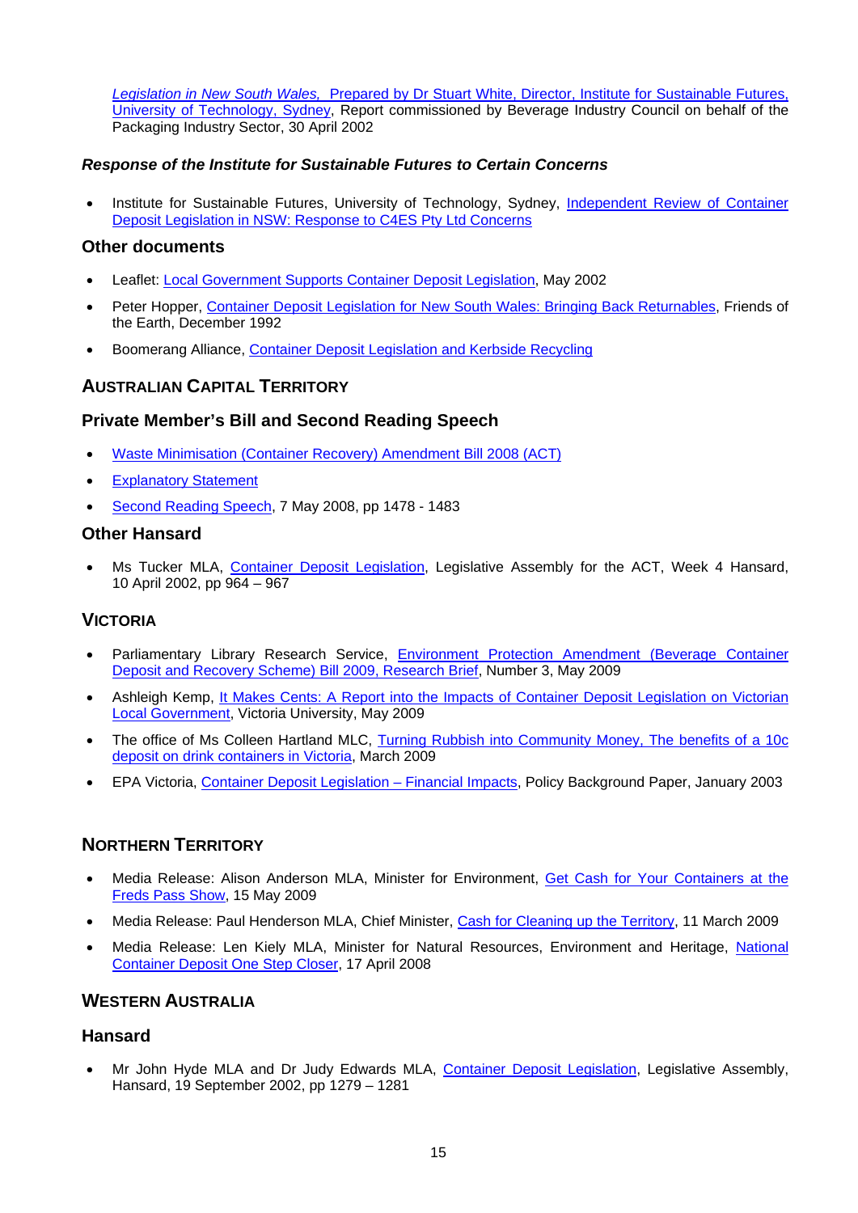*Legislation in New South Wales,* [Prepared by Dr Stuart White, Director, Institute for Sustainable Futures,](http://www.accesseconomics.com.au/reports/48.pdf)  [University of Technology, Sydney,](http://www.accesseconomics.com.au/reports/48.pdf) Report commissioned by Beverage Industry Council on behalf of the Packaging Industry Sector, 30 April 2002

#### *Response of the Institute for Sustainable Futures to Certain Concerns*

• Institute for Sustainable Futures, University of Technology, Sydney, *Independent Review of Container* [Deposit Legislation in NSW: Response to C4ES Pty Ltd Concerns](http://www.isf.uts.edu.au/whatwedo/C4ES_response_130502.pdf)

#### <span id="page-18-0"></span>**Other documents**

- Leaflet: [Local Government Supports Container Deposit Legislation](http://www.lgsa.org.au/resources/documents/CDL_Leaflet.pdf), May 2002
- Peter Hopper, [Container Deposit Legislation for New South Wales: Bringing Back Returnables,](http://www.hotkey.net.au/%7Egargoyle/CDL/Reports/BringingBackReturnables/index.html) Friends of the Earth, December 1992
- Boomerang Alliance, [Container Deposit Legislation and Kerbside Recycling](http://www.boomerangalliance.org/000_files/25_CDL_and_kerbside.pdf)

#### <span id="page-18-1"></span>**AUSTRALIAN CAPITAL TERRITORY**

#### <span id="page-18-2"></span>**Private Member's Bill and Second Reading Speech**

- [Waste Minimisation \(Container Recovery\) Amendment Bill 2008 \(ACT\)](http://www.legislation.act.gov.au/b/db_32361/default.asp)
- [Explanatory Statement](http://www.austlii.edu.au/au/legis/act/bill_es/wmrab2008500/wmrab2008500.html)
- [Second Reading Speech,](http://www.hansard.act.gov.au/hansard/2008/week05/1478.htm) 7 May 2008, pp 1478 1483

#### <span id="page-18-3"></span>**Other Hansard**

 Ms Tucker MLA, [Container Deposit Legislation,](http://www.hansard.act.gov.au/Hansard/2002/week04/964.htm) Legislative Assembly for the ACT, Week 4 Hansard, 10 April 2002, pp 964 – 967

#### <span id="page-18-4"></span>**VICTORIA**

- Parliamentary Library Research Service, [Environment Protection Amendment \(Beverage Container](http://www.parliament.vic.gov.au/research/2009RBContainerDeposit.pdf)  [Deposit and Recovery Scheme\) Bill 2009, Research Brief](http://www.parliament.vic.gov.au/research/2009RBContainerDeposit.pdf), Number 3, May 2009
- Ashleigh Kemp, [It Makes Cents: A Report into the Impacts of Container Deposit Legislation on Victorian](http://www.vic.greens.org.au/news/add-or-edit-media-releases-2009/10c-deposit-report-shows-it-makes-cents)  [Local Government,](http://www.vic.greens.org.au/news/add-or-edit-media-releases-2009/10c-deposit-report-shows-it-makes-cents) Victoria University, May 2009
- The office of Ms Colleen Hartland MLC, Turning Rubbish into Community Money, The benefits of a 10c [deposit on drink containers in Victoria](http://mps.vic.greens.org.au/system/files/Turning+Rubbish+Into+Community+Money.pdf), March 2009
- EPA Victoria, [Container Deposit Legislation Financial Impacts](http://epanote2.epa.vic.gov.au/EPA/Publications.nsf/716543f3e369a021ca256aa7001e5635/6d91a8a4c77802deca256cc4000f5cc1/$FILE/883.pdf), Policy Background Paper, January 2003

#### <span id="page-18-5"></span>**NORTHERN TERRITORY**

- Media Release: Alison Anderson MLA, Minister for Environment, [Get Cash for Your Containers at the](http://newsroom.nt.gov.au/index.cfm?fuseaction=printRelease&ID=5569)  [Freds Pass Show](http://newsroom.nt.gov.au/index.cfm?fuseaction=printRelease&ID=5569), 15 May 2009
- Media Release: Paul Henderson MLA, Chief Minister, [Cash for Cleaning up the Territory](http://newsroom.nt.gov.au/index.cfm?fuseaction=printRelease&ID=5229), 11 March 2009
- Media Release: Len Kiely MLA, Minister for Natural Resources, Environment and Heritage, [National](http://newsroom.nt.gov.au/index.cfm?fuseaction=viewRelease&id=3926&d=5)  [Container Deposit One Step Closer,](http://newsroom.nt.gov.au/index.cfm?fuseaction=viewRelease&id=3926&d=5) 17 April 2008

### <span id="page-18-6"></span>**WESTERN AUSTRALIA**

#### <span id="page-18-7"></span>**Hansard**

 Mr John Hyde MLA and Dr Judy Edwards MLA, [Container Deposit Legislation,](http://www.parliament.wa.gov.au/hansard/hans35.nsf/(ATT)/1455A50DEA11960648256E3C00322751/$file/A36+S2+20020919+p1279b-1281a.pdf) Legislative Assembly, Hansard, 19 September 2002, pp 1279 – 1281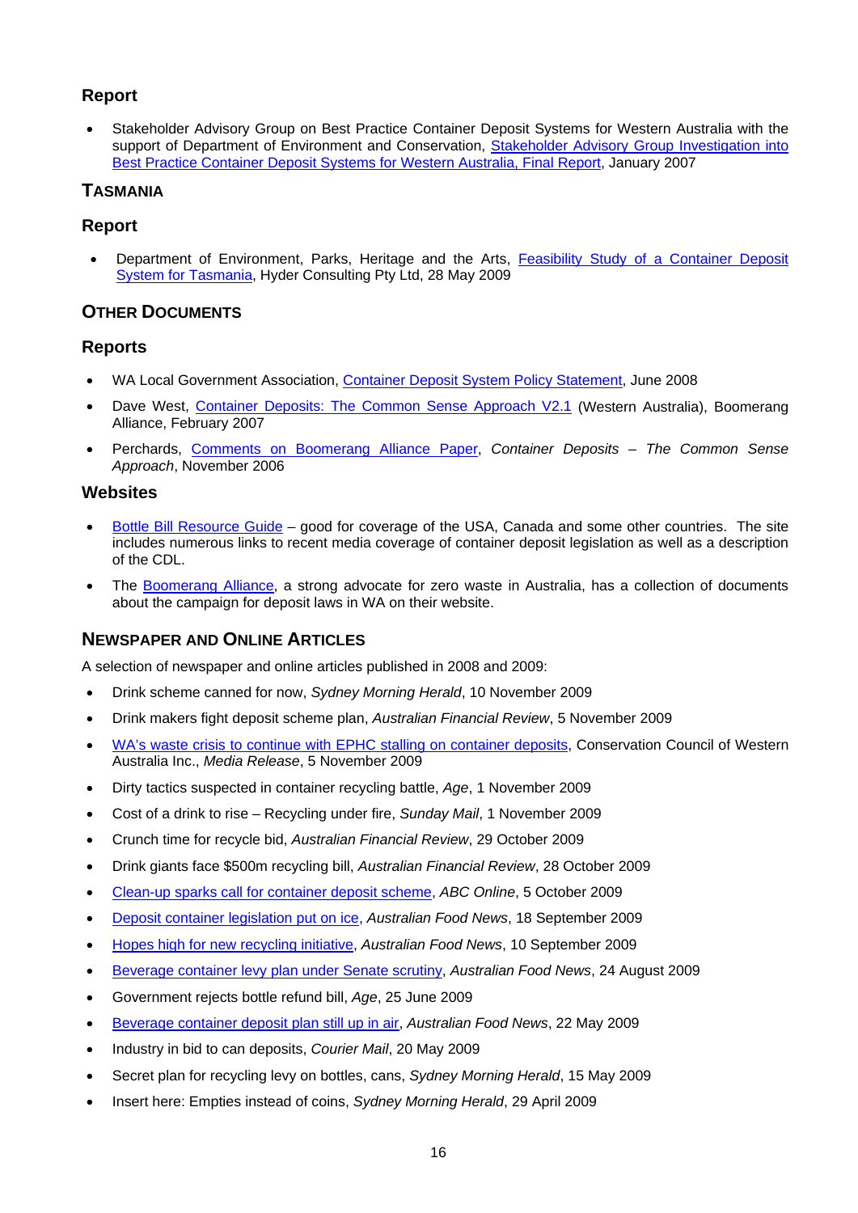#### <span id="page-19-0"></span>**Report**

 Stakeholder Advisory Group on Best Practice Container Deposit Systems for Western Australia with the support of Department of Environment and Conservation, Stakeholder Advisory Group Investigation into [Best Practice Container Deposit Systems for Western Australia, Final Report](http://www.zerowastewa.com.au/documents/sag_cds_report.pdf), January 2007

## <span id="page-19-1"></span>**TASMANIA**

#### <span id="page-19-2"></span>**Report**

 Department of Environment, Parks, Heritage and the Arts, [Feasibility Study of a Container Deposit](http://www.environment.tas.gov.au/index.aspx?base=4994)  [System for Tasmania](http://www.environment.tas.gov.au/index.aspx?base=4994), Hyder Consulting Pty Ltd, 28 May 2009

### <span id="page-19-3"></span>**OTHER DOCUMENTS**

#### <span id="page-19-4"></span>**Reports**

- WA Local Government Association, [Container Deposit System Policy Statement](http://www.wastenet.net.au/policy/statements/CDSPolicy/file/at_download), June 2008
- Dave West, [Container Deposits: The Common Sense Approach V2.1](http://boomerangalliance.org/000_files/Final_Container_Deposits___the_common_sense_approach.pdf) (Western Australia), Boomerang Alliance, February 2007
- Perchards, [Comments on Boomerang Alliance Paper,](http://www.pca.org.au/homepage/PackWeb/OzResponseCDL_10_11_06.pdf) *Container Deposits The Common Sense Approach*, November 2006

#### <span id="page-19-5"></span>**Websites**

- [Bottle Bill Resource Guide](http://www.bottlebill.org/) good for coverage of the USA, Canada and some other countries. The site includes numerous links to recent media coverage of container deposit legislation as well as a description of the CDL.
- The [Boomerang Alliance](http://www.boomerangalliance.org/), a strong advocate for zero waste in Australia, has a collection of documents about the campaign for deposit laws in WA on their website.

#### **NEWSPAPER AND ONLINE ARTICLES**

A selection of newspaper and online articles published in 2008 and 2009:

- Drink scheme canned for now, *Sydney Morning Herald*, 10 November 2009
- Drink makers fight deposit scheme plan, *Australian Financial Review*, 5 November 2009
- WA's waste crisis to continue with [EPHC stalling on container deposits](http://conservationwa.asn.au/images/mediareleases/Nov2009/wa%20waste%20crisis%20to%20continue%20with%20ephc%20stalling%20on%20container%20deposits.pdf), Conservation Council of Western Australia Inc., *Media Release*, 5 November 2009
- Dirty tactics suspected in container recycling battle, *Age*, 1 November 2009
- Cost of a drink to rise Recycling under fire, *Sunday Mail*, 1 November 2009
- Crunch time for recycle bid, *Australian Financial Review*, 29 October 2009
- Drink giants face \$500m recycling bill, *Australian Financial Review*, 28 October 2009
- [Clean-up sparks call for container deposit scheme,](http://www.abc.net.au/news/stories/2009/10/05/2704697.htm) *ABC Online*, 5 October 2009
- [Deposit container legislation put on ice](http://www.ausfoodnews.com.au/2009/09/18/deposit-container-legislation-put-on-ice.html), *Australian Food News*, 18 September 2009
- [Hopes high for new recycling initiative](http://www.ausfoodnews.com.au/2009/09/10/hopes-high-for-new-recycling-initiative.html), *Australian Food News*, 10 September 2009
- [Beverage container levy plan under Senate scrutiny](http://www.ausfoodnews.com.au/2009/08/24/beverage-container-levy-plan-under-senate-scrutiny.html), *Australian Food News*, 24 August 2009
- Government rejects bottle refund bill, *Age*, 25 June 2009
- [Beverage container deposit plan still up in air](http://www.ausfoodnews.com.au/2009/05/22/beverage-container-deposit-system-considered-by-environment-ministers.html), *Australian Food News*, 22 May 2009
- Industry in bid to can deposits, *Courier Mail*, 20 May 2009
- Secret plan for recycling levy on bottles, cans, *Sydney Morning Herald*, 15 May 2009
- Insert here: Empties instead of coins, *Sydney Morning Herald*, 29 April 2009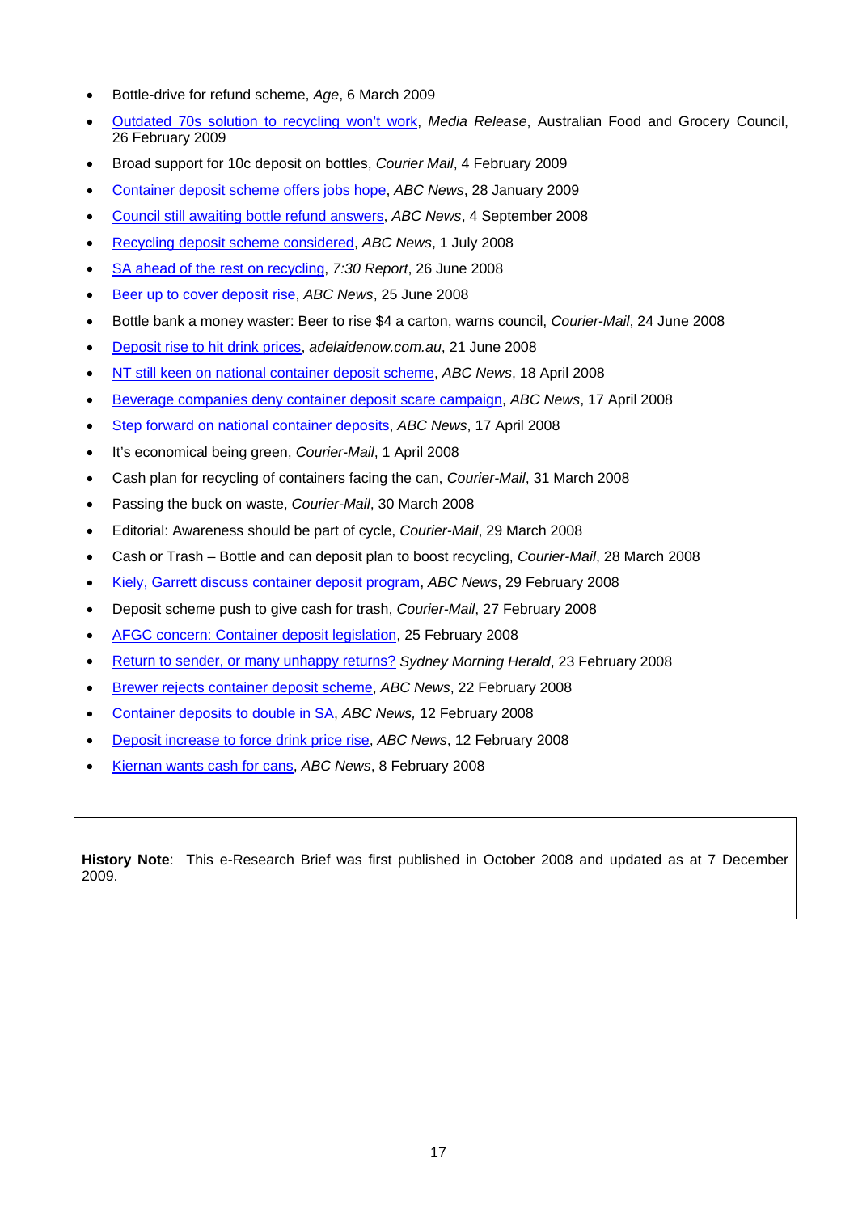- Bottle-drive for refund scheme, *Age*, 6 March 2009
- [Outdated 70s solution to recycling won't work,](http://www.afgc.org.au/index.cfm?id=795) *Media Release*, Australian Food and Grocery Council, 26 February 2009
- Broad support for 10c deposit on bottles, *Courier Mail*, 4 February 2009
- [Container deposit scheme offers jobs hope](http://www.abc.net.au/news/stories/2009/01/28/2475836.htm), *ABC News*, 28 January 2009
- [Council still awaiting bottle refund answers](http://www.abc.net.au/news/stories/2008/09/04/2354894.htm), *ABC News*, 4 September 2008
- [Recycling deposit scheme considered,](http://www.abc.net.au/news/stories/2008/07/01/2291233.htm) *ABC News*, 1 July 2008
- [SA ahead of the rest on recycling](http://www.abc.net.au/7.30/content/2008/s2287158.htm), *7:30 Report*, 26 June 2008
- [Beer up to cover deposit rise](http://www.abc.net.au/news/stories/2008/06/25/2286060.htm), *ABC News*, 25 June 2008
- Bottle bank a money waster: Beer to rise \$4 a carton, warns council, *Courier-Mail*, 24 June 2008
- [Deposit rise to hit drink prices](http://www.news.com.au/adelaidenow/story/0,22606,23901849-5006301,00.html), *adelaidenow.com.au*, 21 June 2008
- [NT still keen on national container deposit scheme](http://www.abc.net.au/news/stories/2008/04/18/2220816.htm), *ABC News*, 18 April 2008
- [Beverage companies deny container deposit scare campaign,](http://www.abc.net.au/news/stories/2008/04/17/2219953.htm) *ABC News*, 17 April 2008
- [Step forward on national container deposits](http://www.abc.net.au/news/stories/2008/04/17/2220207.htm), *ABC News*, 17 April 2008
- It's economical being green, *Courier-Mail*, 1 April 2008
- Cash plan for recycling of containers facing the can, *Courier-Mail*, 31 March 2008
- Passing the buck on waste, *Courier-Mail*, 30 March 2008
- Editorial: Awareness should be part of cycle, *Courier-Mail*, 29 March 2008
- Cash or Trash Bottle and can deposit plan to boost recycling, *Courier-Mail*, 28 March 2008
- [Kiely, Garrett discuss container deposit program](http://www.abc.net.au/news/stories/2008/02/29/2176255.htm), *ABC News*, 29 February 2008
- Deposit scheme push to give cash for trash, *Courier-Mail*, 27 February 2008
- [AFGC concern: Container deposit legislation](http://www.foodmag.com.au/Article/AFGC-concern-container-deposit-legislation/146427.aspx), 25 February 2008
- [Return to sender, or many unhappy returns?](http://www.smh.com.au/news/environment/return-to-sender-or-many-unhappy-returns/2008/02/22/1203467388943.html) *Sydney Morning Herald*, 23 February 2008
- [Brewer rejects container deposit scheme,](http://www.abc.net.au/news/stories/2008/02/22/2169956.htm) *ABC News*, 22 February 2008
- [Container deposits to double in SA,](http://www.abc.net.au/news/stories/2008/02/12/2160266.htm) *ABC News,* 12 February 2008
- [Deposit increase to force drink price rise](http://www.abc.net.au/news/stories/2008/02/12/2160851.htm), *ABC News*, 12 February 2008
- [Kiernan wants cash for cans,](http://www.abc.net.au/news/stories/2008/02/08/2158026.htm) *ABC News*, 8 February 2008

**History Note**: This e-Research Brief was first published in October 2008 and updated as at 7 December 2009.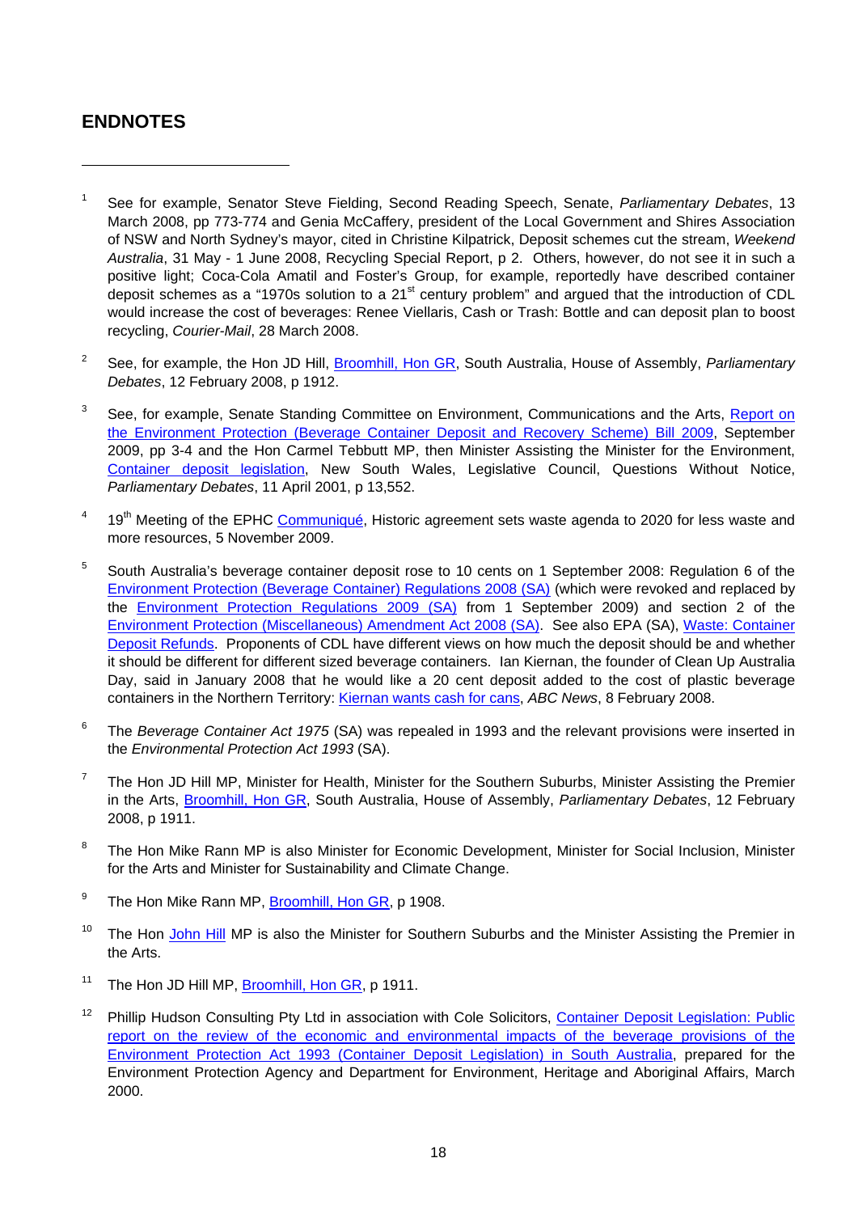## <span id="page-21-0"></span>**ENDNOTES**

- <span id="page-21-1"></span>1 See for example, Senator Steve Fielding, Second Reading Speech, Senate, *Parliamentary Debates*, 13 March 2008, pp 773-774 and Genia McCaffery, president of the Local Government and Shires Association of NSW and North Sydney's mayor, cited in Christine Kilpatrick, Deposit schemes cut the stream, *Weekend Australia*, 31 May - 1 June 2008, Recycling Special Report, p 2. Others, however, do not see it in such a positive light; Coca-Cola Amatil and Foster's Group, for example, reportedly have described container deposit schemes as a "1970s solution to a 21<sup>st</sup> century problem" and argued that the introduction of CDL would increase the cost of beverages: Renee Viellaris, Cash or Trash: Bottle and can deposit plan to boost recycling, *Courier-Mail*, 28 March 2008.
- <span id="page-21-2"></span>2 See, for example, the Hon JD Hill, [Broomhill, Hon GR](http://hansard.parliament.sa.gov.au/pages/loaddoc.aspx?dly=y&eID=1&eD=2008_02_12), South Australia, House of Assembly, *Parliamentary Debates*, 12 February 2008, p 1912.
- <span id="page-21-3"></span>3 See, for example, Senate Standing Committee on Environment, Communications and the Arts, [Report on](http://www.aph.gov.au/Senate/committee/eca_ctte/environment_protect_09/report/index.htm)  [the Environment Protection \(Beverage Container Deposit and Recovery Scheme\) Bill 2009](http://www.aph.gov.au/Senate/committee/eca_ctte/environment_protect_09/report/index.htm), September 2009, pp 3-4 and the Hon Carmel Tebbutt MP, then Minister Assisting the Minister for the Environment, [Container deposit legislation,](http://www.parliament.nsw.gov.au/Prod/parlment/hanstrans.nsf/V3ByKey/LC20010411) New South Wales, Legislative Council, Questions Without Notice, *Parliamentary Debates*, 11 April 2001, p 13,552.
- <span id="page-21-4"></span>4 19<sup>th</sup> Meeting of the EPHC [Communiqué](http://www.ephc.gov.au/sites/default/files/EPHC_Cmq__Communique_2009_11_05.pdf), Historic agreement sets waste agenda to 2020 for less waste and more resources, 5 November 2009.
- <span id="page-21-5"></span>5 South Australia's beverage container deposit rose to 10 cents on 1 September 2008: Regulation 6 of the [Environment Protection \(Beverage Container\) Regulations 2008 \(SA\)](http://www.legislation.sa.gov.au/LZ/C/R/Environment%20Protection%20(Beverage%20Container)%20Regulations%202008.aspx) (which were revoked and replaced by the [Environment Protection Regulations 2009 \(SA\)](http://www.legislation.sa.gov.au/LZ/C/R/Environment%20Protection%20Regulations%202009.aspx) from 1 September 2009) and section 2 of the [Environment Protection \(Miscellaneous\) Amendment Act 2008 \(SA\).](http://austlii.law.uts.edu.au/au/legis/sa/num_act/epaa200835o2008545/) See also EPA (SA), [Waste: Container](http://www.epa.sa.gov.au/environmental_info/waste/container_deposit_legislation)  [Deposit Refunds.](http://www.epa.sa.gov.au/environmental_info/waste/container_deposit_legislation) Proponents of CDL have different views on how much the deposit should be and whether it should be different for different sized beverage containers. Ian Kiernan, the founder of Clean Up Australia Day, said in January 2008 that he would like a 20 cent deposit added to the cost of plastic beverage containers in the Northern Territory: [Kiernan wants cash for cans,](http://www.abc.net.au/news/stories/2008/02/08/2158026.htm) *ABC News*, 8 February 2008.
- <span id="page-21-6"></span>6 The *Beverage Container Act 1975* (SA) was repealed in 1993 and the relevant provisions were inserted in the *Environmental Protection Act 1993* (SA).
- <span id="page-21-7"></span>7 The Hon JD Hill MP, Minister for Health, Minister for the Southern Suburbs, Minister Assisting the Premier in the Arts, [Broomhill, Hon GR,](http://hansard.parliament.sa.gov.au/pages/loaddoc.aspx?dly=y&eID=1&eD=2008_02_12) South Australia, House of Assembly, *Parliamentary Debates*, 12 February 2008, p 1911.
- <span id="page-21-8"></span>8 The Hon Mike Rann MP is also Minister for Economic Development, Minister for Social Inclusion, Minister for the Arts and Minister for Sustainability and Climate Change.
- <span id="page-21-9"></span>9 The Hon Mike Rann MP, [Broomhill, Hon GR](http://hansard.parliament.sa.gov.au/pages/loaddoc.aspx?dly=y&eID=1&eD=2008_02_12), p 1908.
- <span id="page-21-10"></span><sup>10</sup> The Hon [John Hill](http://www.parliament.sa.gov.au/Members/List+of+All+Members.htm) MP is also the Minister for Southern Suburbs and the Minister Assisting the Premier in the Arts.
- <sup>11</sup> The Hon JD Hill MP, [Broomhill, Hon GR](http://hansard.parliament.sa.gov.au/pages/loaddoc.aspx?dly=y&eID=1&eD=2008_02_12), p 1911.
- <span id="page-21-11"></span><sup>12</sup> Phillip Hudson Consulting Pty Ltd in association with Cole Solicitors, Container Deposit Legislation: Public [report on the review of the economic and environmental impacts of the beverage provisions of the](http://www.epa.sa.gov.au/pdfs/cdl_report.pdf)  [Environment Protection Act 1993 \(Container Deposit Legislation\) in South Australia,](http://www.epa.sa.gov.au/pdfs/cdl_report.pdf) prepared for the Environment Protection Agency and Department for Environment, Heritage and Aboriginal Affairs, March 2000.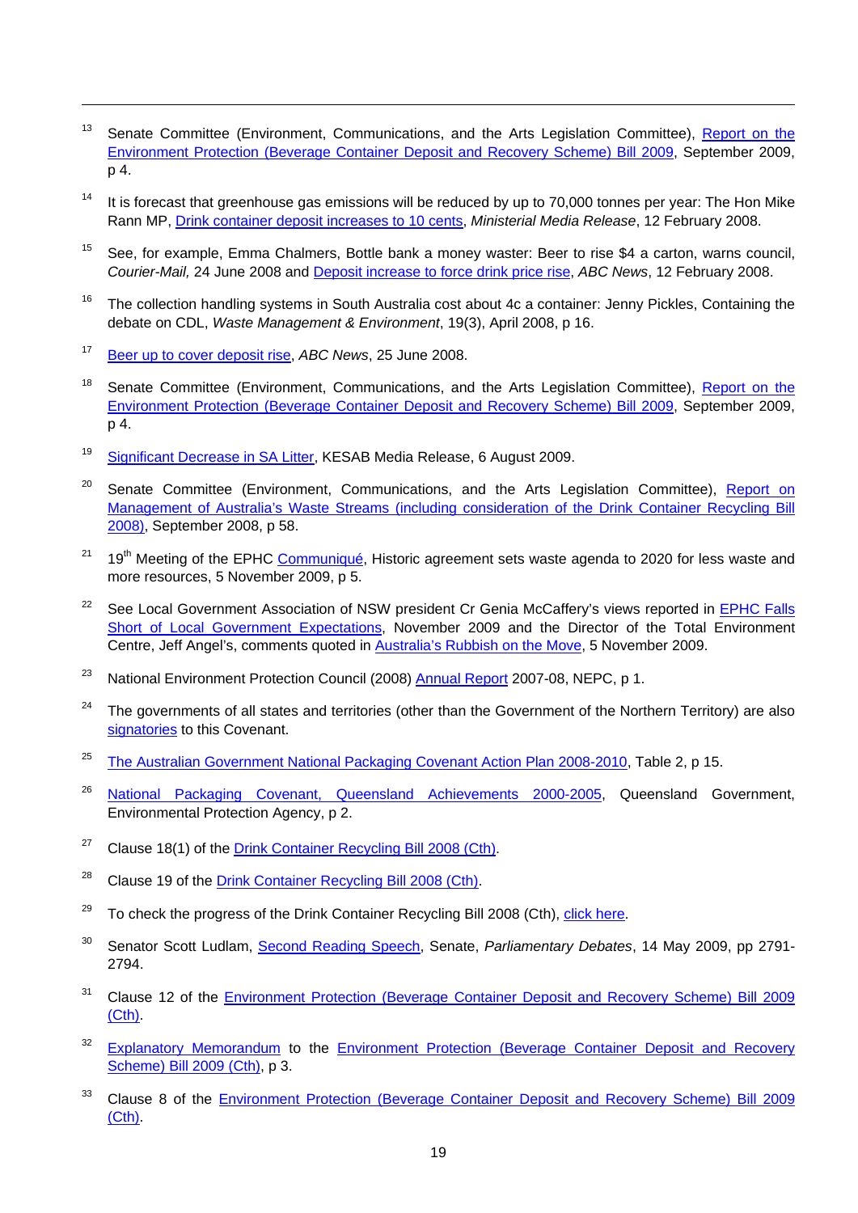- <span id="page-22-0"></span><sup>13</sup> Senate Committee (Environment, Communications, and the Arts Legislation Committee), Report on the [Environment Protection \(Beverage Container Deposit and Recovery Scheme\) Bill 2009,](http://www.aph.gov.au/Senate/committee/eca_ctte/environment_protect_09/report/report.pdf) September 2009, p 4.
- <span id="page-22-1"></span> $14$  It is forecast that greenhouse gas emissions will be reduced by up to 70,000 tonnes per year: The Hon Mike Rann MP, [Drink container deposit increases to 10 cents](http://www.ministers.sa.gov.au/news.php?id=2757), *Ministerial Media Release*, 12 February 2008.
- <span id="page-22-2"></span><sup>15</sup> See, for example, Emma Chalmers, Bottle bank a money waster: Beer to rise \$4 a carton, warns council, *Courier-Mail,* 24 June 2008 and [Deposit increase to force drink price rise,](http://www.abc.net.au/news/stories/2008/02/12/2160851.htm) *ABC News*, 12 February 2008.
- <span id="page-22-3"></span><sup>16</sup> The collection handling systems in South Australia cost about 4c a container: Jenny Pickles, Containing the debate on CDL, *Waste Management & Environment*, 19(3), April 2008, p 16.
- <span id="page-22-4"></span>17 [Beer up to cover deposit rise,](http://www.abc.net.au/news/stories/2008/06/25/2286060.htm) *ABC News*, 25 June 2008.

- <span id="page-22-5"></span><sup>18</sup> Senate Committee (Environment, Communications, and the Arts Legislation Committee), Report on the [Environment Protection \(Beverage Container Deposit and Recovery Scheme\) Bill 2009,](http://www.aph.gov.au/Senate/committee/eca_ctte/environment_protect_09/report/report.pdf) September 2009, p 4.
- <span id="page-22-6"></span>19 [Significant Decrease in SA Litter](http://kab.org.au/files/NLI/060809_sa_nli_press_release.pdf), KESAB Media Release, 6 August 2009.
- <span id="page-22-7"></span><sup>20</sup> Senate Committee (Environment, Communications, and the Arts Legislation Committee), Report on [Management of Australia's Waste Streams \(including consideration of the Drink Container Recycling Bill](http://www.aph.gov.au/Senate/committee/eca_ctte/aust_waste_streams/report/index.htm)  [2008\)](http://www.aph.gov.au/Senate/committee/eca_ctte/aust_waste_streams/report/index.htm), September 2008, p 58.
- <span id="page-22-8"></span><sup>21</sup> 19<sup>th</sup> Meeting of the EPHC [Communiqué](http://www.ephc.gov.au/sites/default/files/EPHC_Cmq__Communique_2009_11_05.pdf), Historic agreement sets waste agenda to 2020 for less waste and more resources, 5 November 2009, p 5.
- <span id="page-22-9"></span><sup>22</sup> See Local Government Association of NSW president Cr Genia McCaffery's views reported in EPHC Falls [Short of Local Government Expectations](http://aibs.businesscatalyst.com/_blog/AIBS_Feature_Articles/post/EPHC_falls_short_of_Local_Government_expectations), November 2009 and the Director of the Total Environment Centre, Jeff Angel's, comments quoted in [Australia's Rubbish on the Move,](http://www.bringitback.org.au/boomerang/node/44) 5 November 2009.
- <span id="page-22-10"></span><sup>23</sup> National Environment Protection Council (2008) [Annual Report](http://www.ephc.gov.au/annual_report) 2007-08, NEPC, p 1.
- <span id="page-22-11"></span><sup>24</sup> The governments of all states and territories (other than the Government of the Northern Territory) are also [signatories](http://www.packagingcovenant.org.au/page.php?name=currentsignatories) to this Covenant.
- <span id="page-22-12"></span><sup>25</sup> [The Australian Government National Packaging Covenant Action Plan 2008-2010](http://www.environment.gov.au/settlements/waste/covenant/publications/action-plan.html), Table 2, p 15.
- <span id="page-22-13"></span><sup>26</sup> [National Packaging Covenant, Queensland Achievements 2000-2005,](http://epa.qld.gov.au/register/p01611aa.pdf) Queensland Government, Environmental Protection Agency, p 2.
- <span id="page-22-14"></span><sup>27</sup> Clause 18(1) of the [Drink Container Recycling Bill 2008 \(Cth\)](http://www.comlaw.gov.au/comlaw/legislation/bills1.nsf/0/0EBCA0B94BF37405CA25740B0017A41D/$file/08051.pdf).
- <span id="page-22-15"></span><sup>28</sup> Clause 19 of the [Drink Container Recycling Bill 2008 \(Cth\)](http://www.comlaw.gov.au/comlaw/legislation/bills1.nsf/0/0EBCA0B94BF37405CA25740B0017A41D/$file/08051.pdf).
- <span id="page-22-16"></span> $29$  To check the progress of the Drink Container Recycling Bill 2008 (Cth), [click here.](http://www.aph.gov.au/bills/index.htm)
- <span id="page-22-17"></span>30 Senator Scott Ludlam, [Second Reading Speech,](http://www.aph.gov.au/Hansard/senate/dailys/ds140509.pdf) Senate, *Parliamentary Debates*, 14 May 2009, pp 2791- 2794.
- <span id="page-22-18"></span><sup>31</sup> Clause 12 of the Environment Protection (Beverage Container Deposit and Recovery Scheme) Bill 2009 [\(Cth\).](http://www.austlii.edu.au/au/legis/cth/bill_em/epcdarsb2009688/memo_0.html)
- <span id="page-22-19"></span><sup>32</sup> [Explanatory Memorandum](http://parlinfo.aph.gov.au/parlInfo/download/legislation/ems/s714_ems_dd92657b-1c84-47de-8134-a32902b10ae5/upload_pdf/09094em.pdf;fileType=application%2Fpdf) to the Environment Protection (Beverage Container Deposit and Recovery [Scheme\) Bill 2009 \(Cth\),](http://www.austlii.edu.au/au/legis/cth/bill_em/epcdarsb2009688/memo_0.html) p 3.
- <span id="page-22-20"></span><sup>33</sup> Clause 8 of the Environment Protection (Beverage Container Deposit and Recovery Scheme) Bill 2009 [\(Cth\).](http://www.austlii.edu.au/au/legis/cth/bill_em/epcdarsb2009688/memo_0.html)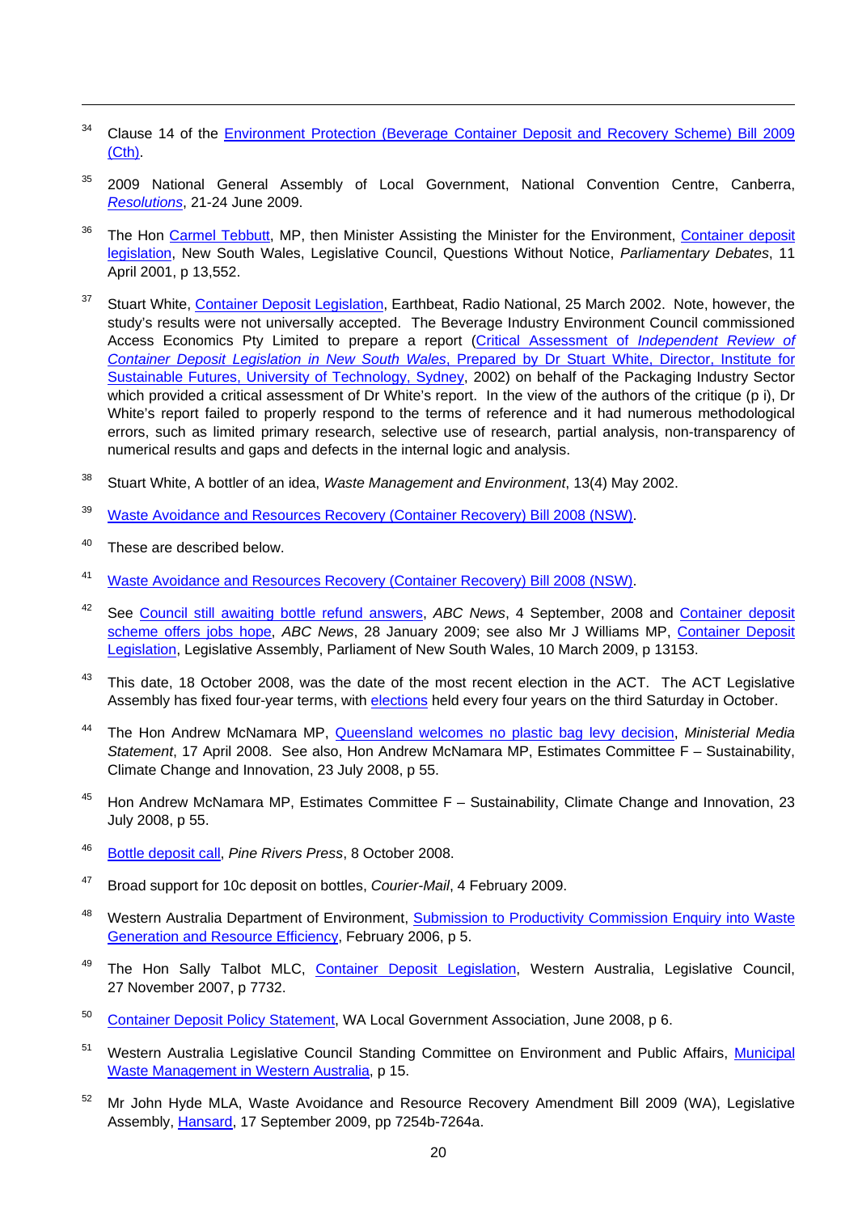- <span id="page-23-0"></span><sup>34</sup> Clause 14 of the Environment Protection (Beverage Container Deposit and Recovery Scheme) Bill 2009 [\(Cth\).](http://www.austlii.edu.au/au/legis/cth/bill_em/epcdarsb2009688/memo_0.html)
- <span id="page-23-1"></span> $35$  2009 National General Assembly of Local Government, National Convention Centre, Canberra, *[Resolutions](http://nga.alga.asn.au/business/resolutions/2009/#Theme3)*, 21-24 June 2009.
- <span id="page-23-2"></span><sup>36</sup> The Hon [Carmel Tebbutt](http://www.parliament.nsw.gov.au/Prod/parlment/members.nsf/0/B7D63557380B4BCC4A25672E0002E1DD), MP, then Minister Assisting the Minister for the Environment, Container deposit [legislation](http://www.parliament.nsw.gov.au/prod/parlment/hansart.nsf/V3Key/LC20010411020), New South Wales, Legislative Council, Questions Without Notice, *Parliamentary Debates*, 11 April 2001, p 13,552.
- <span id="page-23-3"></span><sup>37</sup> Stuart White, [Container Deposit Legislation](http://www.abc.net.au/rn/science/earth/stories/s512555.htm), Earthbeat, Radio National, 25 March 2002. Note, however, the study's results were not universally accepted. The Beverage Industry Environment Council commissioned Access Economics Pty Limited to prepare a report (Critical Assessment of *[Independent Review of](http://www.accesseconomics.com.au/publicationsreports/getreport.php?report=41&id=48%20-)  Container Deposit Legislation in New South Wales*[, Prepared by Dr Stuart White, Director, Institute for](http://www.accesseconomics.com.au/publicationsreports/getreport.php?report=41&id=48%20-)  [Sustainable Futures, University of Technology, Sydney](http://www.accesseconomics.com.au/publicationsreports/getreport.php?report=41&id=48%20-), 2002) on behalf of the Packaging Industry Sector which provided a critical assessment of Dr White's report. In the view of the authors of the critique (p i), Dr White's report failed to properly respond to the terms of reference and it had numerous methodological errors, such as limited primary research, selective use of research, partial analysis, non-transparency of numerical results and gaps and defects in the internal logic and analysis.
- <span id="page-23-4"></span>38 Stuart White, A bottler of an idea, *Waste Management and Environment*, 13(4) May 2002.
- <span id="page-23-5"></span>39 [Waste Avoidance and Resources Recovery \(Container Recovery\) Bill 2008 \(NSW\)](http://www.parliament.nsw.gov.au/prod/parlment/nswbills.nsf/0/BF517113EA29B646CA2572D6007CFE94).
- <span id="page-23-6"></span>40 These are described below.

- <span id="page-23-7"></span>41 [Waste Avoidance and Resources Recovery \(Container Recovery\) Bill 2008 \(NSW\)](http://www.parliament.nsw.gov.au/prod/parlment/nswbills.nsf/0/BF517113EA29B646CA2572D6007CFE94).
- <span id="page-23-8"></span>42 See [Council still awaiting bottle refund answers,](http://www.abc.net.au/news/stories/2008/09/04/2354894.htm) *ABC News*, 4 September, 2008 and [Container deposit](http://www.abc.net.au/news/stories/2009/01/28/2475836.htm)  [scheme offers jobs hope](http://www.abc.net.au/news/stories/2009/01/28/2475836.htm), *ABC News*, 28 January 2009; see also Mr J Williams MP, [Container Deposit](http://www.parliament.nsw.gov.au/prod/PARLMENT/hansArt.nsf/V3Key/LA20090310011)  [Legislation,](http://www.parliament.nsw.gov.au/prod/PARLMENT/hansArt.nsf/V3Key/LA20090310011) Legislative Assembly, Parliament of New South Wales, 10 March 2009, p 13153.
- <span id="page-23-9"></span><sup>43</sup> This date, 18 October 2008, was the date of the most recent election in the ACT. The ACT Legislative Assembly has fixed four-year terms, with [elections](http://www.elections.act.gov.au/faqselection.html) held every four years on the third Saturday in October.
- <span id="page-23-10"></span>44 The Hon Andrew McNamara MP, [Queensland welcomes no plastic bag levy decision](http://www.cabinet.qld.gov.au/MMS/StatementDisplaySingle.aspx?id=57639), *Ministerial Media Statement*, 17 April 2008. See also, Hon Andrew McNamara MP, Estimates Committee F – Sustainability, Climate Change and Innovation, 23 July 2008, p 55.
- <span id="page-23-11"></span><sup>45</sup> Hon Andrew McNamara MP, Estimates Committee  $F -$  Sustainability, Climate Change and Innovation, 23 July 2008, p 55.
- <span id="page-23-12"></span>46 [Bottle deposit call](http://pine-rivers-press.whereilive.com.au/news/story/bottle-deposit-called/), *Pine Rivers Press*, 8 October 2008.
- <span id="page-23-13"></span>47 Broad support for 10c deposit on bottles, *Courier-Mail*, 4 February 2009.
- <span id="page-23-14"></span><sup>48</sup> Western Australia Department of Environment, Submission to Productivity Commission Enquiry into Waste [Generation and Resource Efficiency,](http://www.pc.gov.au/__data/assets/pdf_file/0009/22788/sub101.pdf) February 2006, p 5.
- <span id="page-23-15"></span><sup>49</sup> The Hon Sally Talbot MLC, [Container Deposit Legislation](http://www.parliament.wa.gov.au/web/newwebparl.nsf/iframewebpages/Hansard+-+Daily+Transcripts), Western Australia, Legislative Council, 27 November 2007, p 7732.
- <span id="page-23-16"></span><sup>50</sup> [Container Deposit Policy Statement,](http://www.wastenet.net.au/policy/statements/CDSPolicy/file/at_download) WA Local Government Association, June 2008, p 6.
- <span id="page-23-17"></span><sup>51</sup> Western Australia Legislative Council Standing Committee on Environment and Public Affairs, Municipal [Waste Management in Western Australia,](http://www.parliament.wa.gov.au/web/newwebparl.nsf/iframewebpages/Legislative+Council+-+Current+Committees) p 15.
- <span id="page-23-18"></span><sup>52</sup> Mr John Hyde MLA, Waste Avoidance and Resource Recovery Amendment Bill 2009 (WA), Legislative Assembly, [Hansard](http://www.parliament.wa.gov.au/web/newwebparl.nsf/iframewebpages/Hansard+Search), 17 September 2009, pp 7254b-7264a.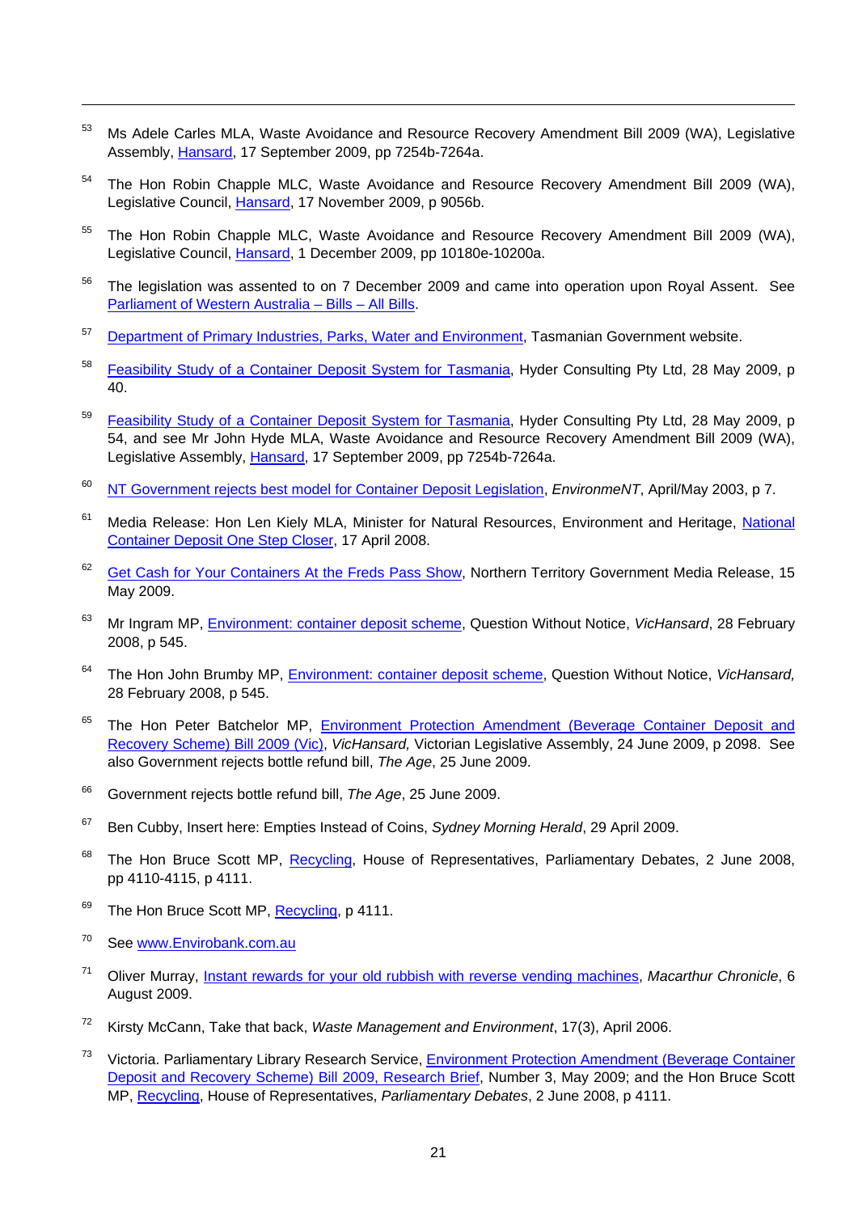- <span id="page-24-0"></span><sup>53</sup> Ms Adele Carles MLA, Waste Avoidance and Resource Recovery Amendment Bill 2009 (WA), Legislative Assembly, [Hansard](http://www.parliament.wa.gov.au/web/newwebparl.nsf/iframewebpages/Hansard+Search), 17 September 2009, pp 7254b-7264a.
- <span id="page-24-1"></span><sup>54</sup> The Hon Robin Chapple MLC, Waste Avoidance and Resource Recovery Amendment Bill 2009 (WA), Legislative Council, [Hansard](http://www.parliament.wa.gov.au/web/newwebparl.nsf/iframewebpages/Hansard+Search), 17 November 2009, p 9056b.
- <span id="page-24-2"></span><sup>55</sup> The Hon Robin Chapple MLC, Waste Avoidance and Resource Recovery Amendment Bill 2009 (WA), Legislative Council, [Hansard](http://www.parliament.wa.gov.au/web/newwebparl.nsf/iframewebpages/Hansard+Search), 1 December 2009, pp 10180e-10200a.
- <span id="page-24-3"></span><sup>56</sup> The legislation was assented to on 7 December 2009 and came into operation upon Royal Assent. See [Parliament of Western Australia – Bills – All Bills](http://www.parliament.wa.gov.au/web/newwebparl.nsf/iframewebpages/Bills+-+All).
- <span id="page-24-4"></span><sup>57</sup> [Department of Primary Industries, Parks, Water and Environment](http://www.environment.tas.gov.au/index.aspx?base=4994), Tasmanian Government website.
- <span id="page-24-5"></span><sup>58</sup> [Feasibility Study of a Container Deposit System for Tasmania](http://www.environment.tas.gov.au/file.aspx?id=5992), Hyder Consulting Pty Ltd, 28 May 2009, p 40.
- <span id="page-24-6"></span><sup>59</sup> [Feasibility Study of a Container Deposit System for Tasmania](http://www.environment.tas.gov.au/file.aspx?id=5992), Hyder Consulting Pty Ltd, 28 May 2009, p 54, and see Mr John Hyde MLA, Waste Avoidance and Resource Recovery Amendment Bill 2009 (WA), Legislative Assembly, [Hansard](http://www.parliament.wa.gov.au/web/newwebparl.nsf/iframewebpages/Hansard+Search), 17 September 2009, pp 7254b-7264a.
- <span id="page-24-7"></span>60 [NT Government rejects best model for Container Deposit Legislation,](http://www.ecnt.org/pdf/news_2003_AprMay.PDF) *EnvironmeNT*, April/May 2003, p 7.
- <span id="page-24-8"></span><sup>61</sup> Media Release: Hon Len Kiely MLA, Minister for Natural Resources, Environment and Heritage, National [Container Deposit One Step Closer,](http://newsroom.nt.gov.au/index.cfm?fuseaction=viewRelease&id=3926&d=5) 17 April 2008.
- <span id="page-24-9"></span><sup>62</sup> [Get Cash for Your Containers At the Freds Pass Show,](http://newsroom.nt.gov.au/adminmedia/mailouts/5569/attachments/Freds%20Pass%20Cash%20for%20Containers.pdf) Northern Territory Government Media Release, 15 May 2009.
- <span id="page-24-10"></span>63 Mr Ingram MP, [Environment: container deposit scheme,](http://tex.parliament.vic.gov.au/bin/texhtmlt?form=VicHansard.sum&debate=container+deposit&logic=and&members=%28All%29&members=%28All%29&activities=%28All%29&parliament=%28All+Parliaments%29+&month=%28All+Months%29&day=All) Question Without Notice, *VicHansard*, 28 February 2008, p 545.
- <span id="page-24-11"></span>64 The Hon John Brumby MP, [Environment: container deposit scheme,](http://tex.parliament.vic.gov.au/bin/texhtmlt?form=VicHansard.sum&debate=container+deposit&logic=and&members=%28All%29&members=%28All%29&activities=%28All%29&parliament=%28All+Parliaments%29+&month=%28All+Months%29&day=All) Question Without Notice, *VicHansard,*  28 February 2008, p 545.
- <span id="page-24-12"></span><sup>65</sup> The Hon Peter Batchelor MP, Environment Protection Amendment (Beverage Container Deposit and [Recovery Scheme\) Bill 2009 \(Vic\),](http://tex.parliament.vic.gov.au/bin/texhtmlt?form=VicHansard.adv) *VicHansard,* Victorian Legislative Assembly, 24 June 2009, p 2098. See also Government rejects bottle refund bill, *The Age*, 25 June 2009.
- <span id="page-24-13"></span>66 Government rejects bottle refund bill, *The Age*, 25 June 2009.
- <span id="page-24-14"></span>67 Ben Cubby, Insert here: Empties Instead of Coins, *Sydney Morning Herald*, 29 April 2009.
- <span id="page-24-15"></span><sup>68</sup> The Hon Bruce Scott MP, [Recycling](http://www.aph.gov.au/hansard/reps/dailys/dr020608.pdf), House of Representatives, Parliamentary Debates, 2 June 2008, pp 4110-4115, p 4111.
- <span id="page-24-16"></span><sup>69</sup> The Hon Bruce Scott MP, [Recycling](http://www.aph.gov.au/hansard/reps/dailys/dr020608.pdf), p 4111.
- <span id="page-24-17"></span>70 See [www.Envirobank.com.au](http://www.envirobank.com.au/)

- <span id="page-24-18"></span>71 Oliver Murray, [Instant rewards for your old rubbish with reverse vending machines](http://macarthur-chronicle-campbelltown.whereilive.com.au/news/story/instant-rewards-for-your-old-rubbish-with-reverse-vending-machine/), *Macarthur Chronicle*, 6 August 2009.
- <span id="page-24-19"></span>72 Kirsty McCann, Take that back, *Waste Management and Environment*, 17(3), April 2006.
- <span id="page-24-20"></span><sup>73</sup> Victoria. Parliamentary Library Research Service, Environment Protection Amendment (Beverage Container [Deposit and Recovery Scheme\) Bill 2009, Research Brief,](http://www.parliament.vic.gov.au/research/2009RBContainerDeposit.pdf) Number 3, May 2009; and the Hon Bruce Scott MP, [Recycling,](http://www.aph.gov.au/hansard/reps/dailys/dr020608.pdf) House of Representatives, *Parliamentary Debates*, 2 June 2008, p 4111.